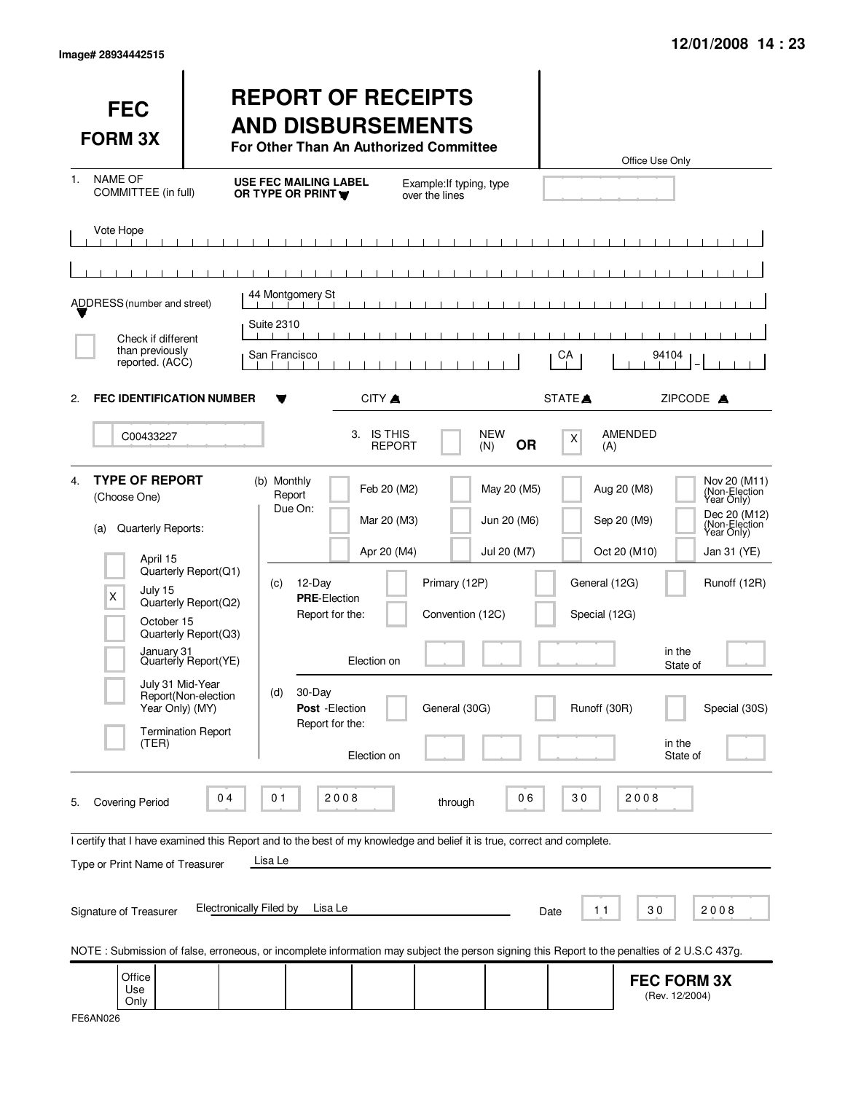|  | Image# 28934442515 |
|--|--------------------|
|--|--------------------|

| <b>FEC</b><br><b>FORM 3X</b>                                                                                                                                                               |                                                                                                                                                  | <b>REPORT OF RECEIPTS</b><br><b>AND DISBURSEMENTS</b><br>For Other Than An Authorized Committee                                                    |                                                                         |                                                                                                 |                                                                                              | Office Use Only                                                                                                                                                           |
|--------------------------------------------------------------------------------------------------------------------------------------------------------------------------------------------|--------------------------------------------------------------------------------------------------------------------------------------------------|----------------------------------------------------------------------------------------------------------------------------------------------------|-------------------------------------------------------------------------|-------------------------------------------------------------------------------------------------|----------------------------------------------------------------------------------------------|---------------------------------------------------------------------------------------------------------------------------------------------------------------------------|
| <b>NAME OF</b><br>$1_{-}$<br>COMMITTEE (in full)                                                                                                                                           |                                                                                                                                                  | <b>USE FEC MAILING LABEL</b><br>OR TYPE OR PRINT Y                                                                                                 | over the lines                                                          | Example: If typing, type                                                                        |                                                                                              |                                                                                                                                                                           |
| Vote Hope                                                                                                                                                                                  |                                                                                                                                                  |                                                                                                                                                    |                                                                         |                                                                                                 |                                                                                              |                                                                                                                                                                           |
|                                                                                                                                                                                            |                                                                                                                                                  |                                                                                                                                                    |                                                                         |                                                                                                 |                                                                                              |                                                                                                                                                                           |
| ADDRESS (number and street)                                                                                                                                                                |                                                                                                                                                  | 44 Montgomery St                                                                                                                                   |                                                                         |                                                                                                 |                                                                                              |                                                                                                                                                                           |
| Check if different                                                                                                                                                                         |                                                                                                                                                  | <b>Suite 2310</b>                                                                                                                                  |                                                                         |                                                                                                 |                                                                                              |                                                                                                                                                                           |
| than previously<br>reported. (ACC)                                                                                                                                                         |                                                                                                                                                  | San Francisco                                                                                                                                      |                                                                         |                                                                                                 | CA                                                                                           | 94104                                                                                                                                                                     |
| <b>FEC IDENTIFICATION NUMBER</b><br>2.                                                                                                                                                     |                                                                                                                                                  |                                                                                                                                                    | CITY A                                                                  |                                                                                                 | STATE <sup></sup>                                                                            | ZIPCODE A                                                                                                                                                                 |
| C00433227                                                                                                                                                                                  |                                                                                                                                                  | 3.                                                                                                                                                 | <b>IS THIS</b><br><b>REPORT</b>                                         | <b>NEW</b><br><b>OR</b><br>(N)                                                                  | AMENDED<br>X<br>(A)                                                                          |                                                                                                                                                                           |
| <b>TYPE OF REPORT</b><br>4.<br>(Choose One)<br>Quarterly Reports:<br>(a)<br>April 15<br>July 15<br>X<br>October 15<br>January 31<br>July 31 Mid-Year<br>Year Only) (MY)<br>(TER)           | Quarterly Report(Q1)<br>Quarterly Report(Q2)<br>Quarterly Report(Q3)<br>Quarterly Report(YE)<br>Report(Non-election<br><b>Termination Report</b> | (b) Monthly<br>Report<br>Due On:<br>12-Day<br>(c)<br><b>PRE-Election</b><br>Report for the:<br>30-Day<br>(d)<br>Post - Election<br>Report for the: | Feb 20 (M2)<br>Mar 20 (M3)<br>Apr 20 (M4)<br>Election on<br>Election on | May 20 (M5)<br>Jun 20 (M6)<br>Jul 20 (M7)<br>Primary (12P)<br>Convention (12C)<br>General (30G) | Aug 20 (M8)<br>Sep 20 (M9)<br>Oct 20 (M10)<br>General (12G)<br>Special (12G)<br>Runoff (30R) | Nov 20 (M11)<br>(Non-Election<br>Year Only)<br>Dec 20 (M12)<br>(Non-Election)<br>Jan 31 (YE)<br>Runoff (12R)<br>in the<br>State of<br>Special (30S)<br>in the<br>State of |
| <b>Covering Period</b><br>5.<br>I certify that I have examined this Report and to the best of my knowledge and belief it is true, correct and complete.<br>Type or Print Name of Treasurer | 04                                                                                                                                               | 2008<br>01<br>Lisa Le                                                                                                                              |                                                                         | 06<br>through                                                                                   | 30                                                                                           | 2008                                                                                                                                                                      |
| Signature of Treasurer                                                                                                                                                                     | <b>Electronically Filed by</b>                                                                                                                   | Lisa Le                                                                                                                                            |                                                                         |                                                                                                 | 11<br>Date                                                                                   | 30<br>2008                                                                                                                                                                |
| NOTE: Submission of false, erroneous, or incomplete information may subject the person signing this Report to the penalties of 2 U.S.C 437g.                                               |                                                                                                                                                  |                                                                                                                                                    |                                                                         |                                                                                                 |                                                                                              |                                                                                                                                                                           |
| Office<br>Use<br>Only                                                                                                                                                                      |                                                                                                                                                  |                                                                                                                                                    |                                                                         |                                                                                                 |                                                                                              | <b>FEC FORM 3X</b><br>(Rev. 12/2004)                                                                                                                                      |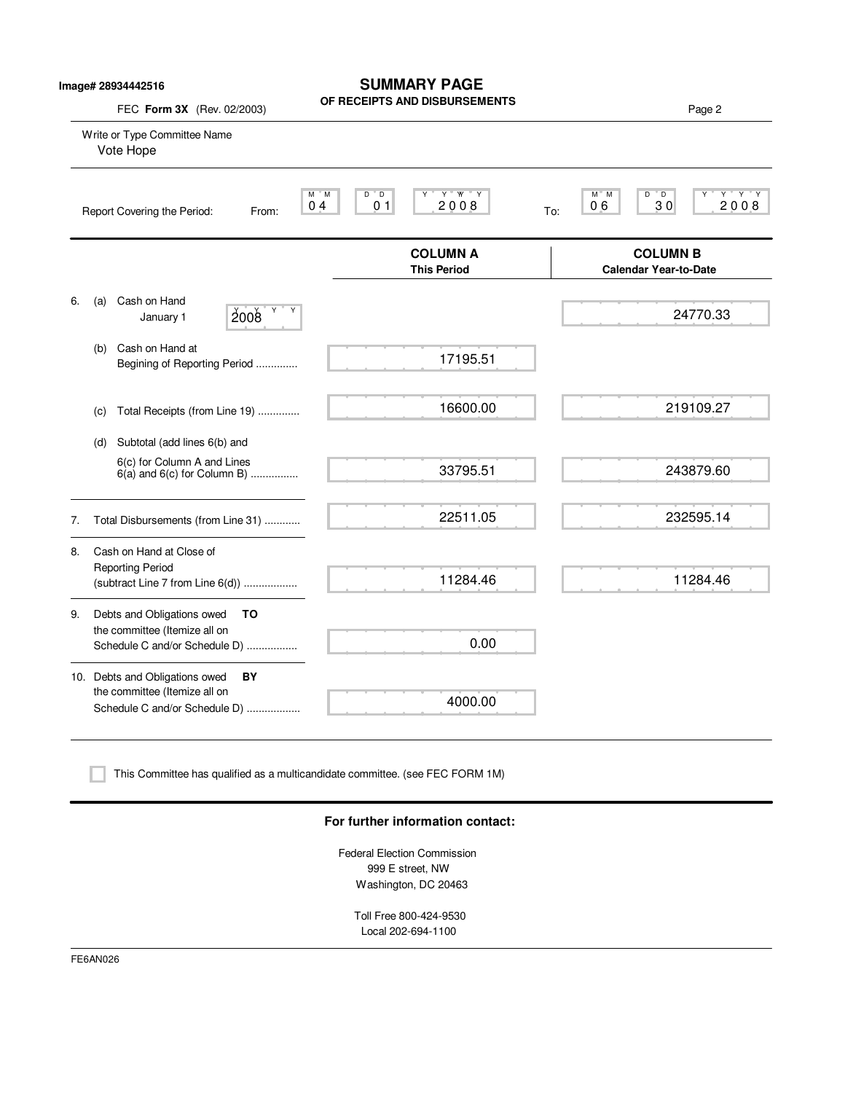|    | FEC Form 3X (Rev. 02/2003)                                                                             | OF RECEIPTS AND DISBURSEMENTS                                                     | Page 2                                                             |
|----|--------------------------------------------------------------------------------------------------------|-----------------------------------------------------------------------------------|--------------------------------------------------------------------|
|    | Write or Type Committee Name<br>Vote Hope                                                              |                                                                                   |                                                                    |
|    | Report Covering the Period:<br>From:                                                                   | Y W Y<br>M M<br>$D^{\prime}$ D<br>0 <sub>4</sub><br>0 <sub>1</sub><br>2008<br>To: | $D^{\prime\prime}$ D<br>$Y$ $Y$ $Y$<br>$M^*$ M<br>2008<br>06<br>30 |
|    |                                                                                                        | <b>COLUMN A</b><br><b>This Period</b>                                             | <b>COLUMN B</b><br><b>Calendar Year-to-Date</b>                    |
| 6. | Cash on Hand<br>(a)<br>Y<br>2008<br>January 1                                                          |                                                                                   | 24770.33                                                           |
|    | Cash on Hand at<br>(b)<br>Begining of Reporting Period                                                 | 17195.51                                                                          |                                                                    |
|    | Total Receipts (from Line 19)<br>(c)                                                                   | 16600.00                                                                          | 219109.27                                                          |
|    | Subtotal (add lines 6(b) and<br>(d)<br>6(c) for Column A and Lines<br>$6(a)$ and $6(c)$ for Column B)  | 33795.51                                                                          | 243879.60                                                          |
| 7. | Total Disbursements (from Line 31)                                                                     | 22511.05                                                                          | 232595.14                                                          |
| 8. | Cash on Hand at Close of<br><b>Reporting Period</b><br>(subtract Line 7 from Line 6(d))                | 11284.46                                                                          | 11284.46                                                           |
| 9. | Debts and Obligations owed<br>ΤO<br>the committee (Itemize all on<br>Schedule C and/or Schedule D)     | 0.00                                                                              |                                                                    |
|    | 10. Debts and Obligations owed<br>BY<br>the committee (Itemize all on<br>Schedule C and/or Schedule D) | 4000.00                                                                           |                                                                    |

**SUMMARY PAGE**

This Committee has qualified as a multicandidate committee. (see FEC FORM 1M)

#### **For further information contact:**

Federal Election Commission 999 E street, NW Washington, DC 20463

> Toll Free 800-424-9530 Local 202-694-1100

FE6AN026

**Image# 28934442516**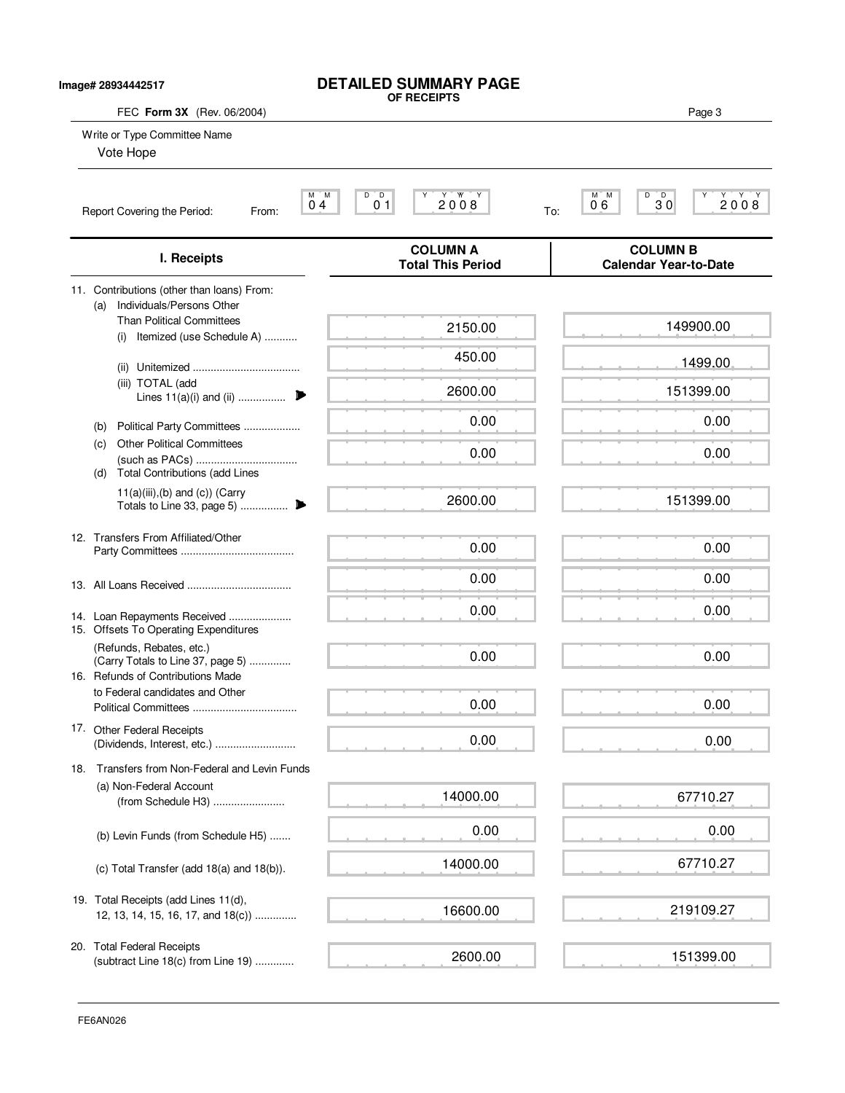| Image# 28934442517                                                                                 | <b>DETAILED SUMMARY PAGE</b><br>OF RECEIPTS                              |                                                 |
|----------------------------------------------------------------------------------------------------|--------------------------------------------------------------------------|-------------------------------------------------|
| FEC Form 3X (Rev. 06/2004)<br>Write or Type Committee Name<br>Vote Hope                            |                                                                          | Page 3                                          |
| Report Covering the Period:<br>From:                                                               | D<br>$\bar{D}$<br>2008<br>M M<br>0 <sub>1</sub><br>0 <sub>4</sub><br>To: | $M$ $M$<br>D<br>30<br>2008<br>06                |
| I. Receipts                                                                                        | <b>COLUMN A</b><br><b>Total This Period</b>                              | <b>COLUMN B</b><br><b>Calendar Year-to-Date</b> |
| 11. Contributions (other than loans) From:<br>Individuals/Persons Other<br>(a)                     |                                                                          |                                                 |
| <b>Than Political Committees</b><br>Itemized (use Schedule A)<br>(i)                               | 2150.00                                                                  | 149900.00                                       |
|                                                                                                    | 450.00                                                                   | 1499.00                                         |
| (iii) TOTAL (add<br>Lines $11(a)(i)$ and (ii)                                                      | 2600.00                                                                  | 151399.00                                       |
| Political Party Committees<br>(b)                                                                  | 0.00                                                                     | 0.00                                            |
| <b>Other Political Committees</b><br>(c)<br><b>Total Contributions (add Lines</b><br>(d)           | 0.00                                                                     | 0.00                                            |
| $11(a)(iii),(b)$ and $(c)$ ) (Carry                                                                | 2600.00                                                                  | 151399.00                                       |
| 12. Transfers From Affiliated/Other                                                                | 0.00                                                                     | 0.00                                            |
|                                                                                                    | 0.00                                                                     | 0.00                                            |
| 14. Loan Repayments Received<br>15. Offsets To Operating Expenditures                              | 0.00                                                                     | 0.00                                            |
| (Refunds, Rebates, etc.)<br>(Carry Totals to Line 37, page 5)<br>16. Refunds of Contributions Made | 0.00                                                                     | 0.00                                            |
| to Federal candidates and Other                                                                    | 0.00                                                                     | 0.00                                            |
| 17. Other Federal Receipts<br>(Dividends, Interest, etc.)                                          | 0.00                                                                     | 0.00                                            |
| Transfers from Non-Federal and Levin Funds<br>18.                                                  |                                                                          |                                                 |
| (a) Non-Federal Account<br>(from Schedule H3)                                                      | 14000.00                                                                 | 67710.27                                        |
| (b) Levin Funds (from Schedule H5)                                                                 | 0.00                                                                     | 0.00                                            |
| (c) Total Transfer (add 18(a) and 18(b)).                                                          | 14000.00                                                                 | 67710.27                                        |
| 19. Total Receipts (add Lines 11(d),<br>12, 13, 14, 15, 16, 17, and 18(c))                         | 16600.00                                                                 | 219109.27                                       |
| 20. Total Federal Receipts<br>(subtract Line 18(c) from Line 19)                                   | 2600.00                                                                  | 151399.00                                       |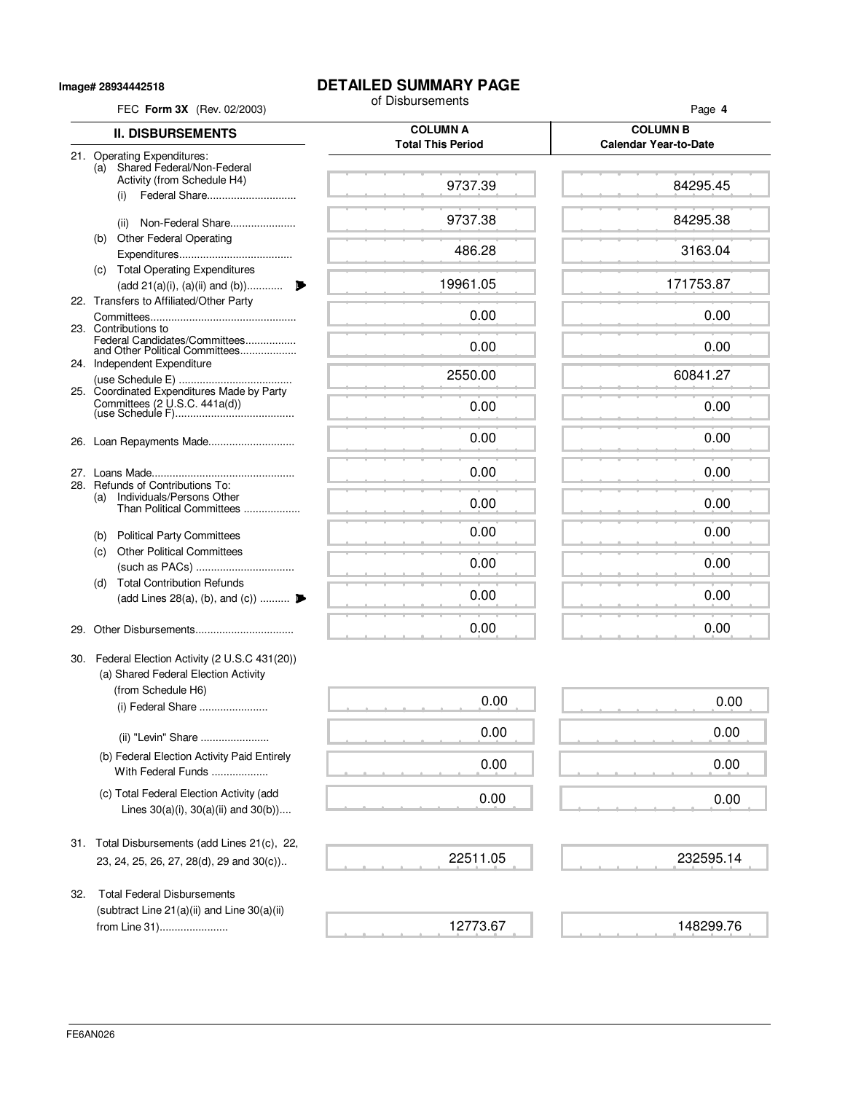**Image# 28934442518**

# **DETAILED SUMMARY PAGE**<br>of Disbursements

| FEC Form 3X (Rev. 02/2003)                                                                                | of Disbursements                            | Page 4                       |  |  |  |  |
|-----------------------------------------------------------------------------------------------------------|---------------------------------------------|------------------------------|--|--|--|--|
| <b>II. DISBURSEMENTS</b>                                                                                  | <b>COLUMN A</b><br><b>Total This Period</b> |                              |  |  |  |  |
| 21. Operating Expenditures:<br>Shared Federal/Non-Federal<br>(a)                                          |                                             | <b>Calendar Year-to-Date</b> |  |  |  |  |
| Activity (from Schedule H4)<br>Federal Share<br>(i)                                                       | 9737.39                                     | 84295.45                     |  |  |  |  |
| Non-Federal Share<br>(ii)                                                                                 | 9737.38                                     | 84295.38                     |  |  |  |  |
| <b>Other Federal Operating</b><br>(b)                                                                     | 486.28                                      | 3163.04                      |  |  |  |  |
| (c) Total Operating Expenditures<br>(add 21(a)(i), (a)(ii) and (b))                                       | 19961.05                                    | 171753.87                    |  |  |  |  |
| 22. Transfers to Affiliated/Other Party<br>23. Contributions to                                           | 0.00                                        | 0.00                         |  |  |  |  |
| Federal Candidates/Committees<br>and Other Political Committees                                           | 0.00                                        | 0.00                         |  |  |  |  |
| 24. Independent Expenditure                                                                               | 2550.00                                     | 60841.27                     |  |  |  |  |
| 25. Coordinated Expenditures Made by Party                                                                | 0.00                                        | 0.00                         |  |  |  |  |
|                                                                                                           | 0.00                                        | 0.00                         |  |  |  |  |
|                                                                                                           | 0.00                                        | 0.00                         |  |  |  |  |
| 28. Refunds of Contributions To:<br>Individuals/Persons Other<br>(a)<br>Than Political Committees         | 0.00                                        | 0.00                         |  |  |  |  |
| (b) Political Party Committees                                                                            | 0.00                                        | 0.00                         |  |  |  |  |
| <b>Other Political Committees</b><br>(c)                                                                  | 0.00                                        | 0.00                         |  |  |  |  |
| <b>Total Contribution Refunds</b><br>(d)<br>(add Lines 28(a), (b), and (c))                               | 0.00                                        | 0.00                         |  |  |  |  |
| 29.                                                                                                       | 0.00                                        | 0.00                         |  |  |  |  |
| 30. Federal Election Activity (2 U.S.C 431(20))<br>(a) Shared Federal Election Activity                   |                                             |                              |  |  |  |  |
| (from Schedule H6)<br>(i) Federal Share                                                                   | 0.00                                        | 0.00                         |  |  |  |  |
| (ii) "Levin" Share                                                                                        | 0.00                                        | 0.00                         |  |  |  |  |
| (b) Federal Election Activity Paid Entirely<br>With Federal Funds                                         | 0.00                                        | 0.00                         |  |  |  |  |
| (c) Total Federal Election Activity (add<br>Lines $30(a)(i)$ , $30(a)(ii)$ and $30(b)$ )                  | 0.00                                        | 0.00                         |  |  |  |  |
| 31. Total Disbursements (add Lines 21(c), 22,<br>23, 24, 25, 26, 27, 28(d), 29 and 30(c))                 | 22511.05                                    | 232595.14                    |  |  |  |  |
| <b>Total Federal Disbursements</b><br>32.<br>(subtract Line 21(a)(ii) and Line 30(a)(ii)<br>from Line 31) | 12773.67                                    | 148299.76                    |  |  |  |  |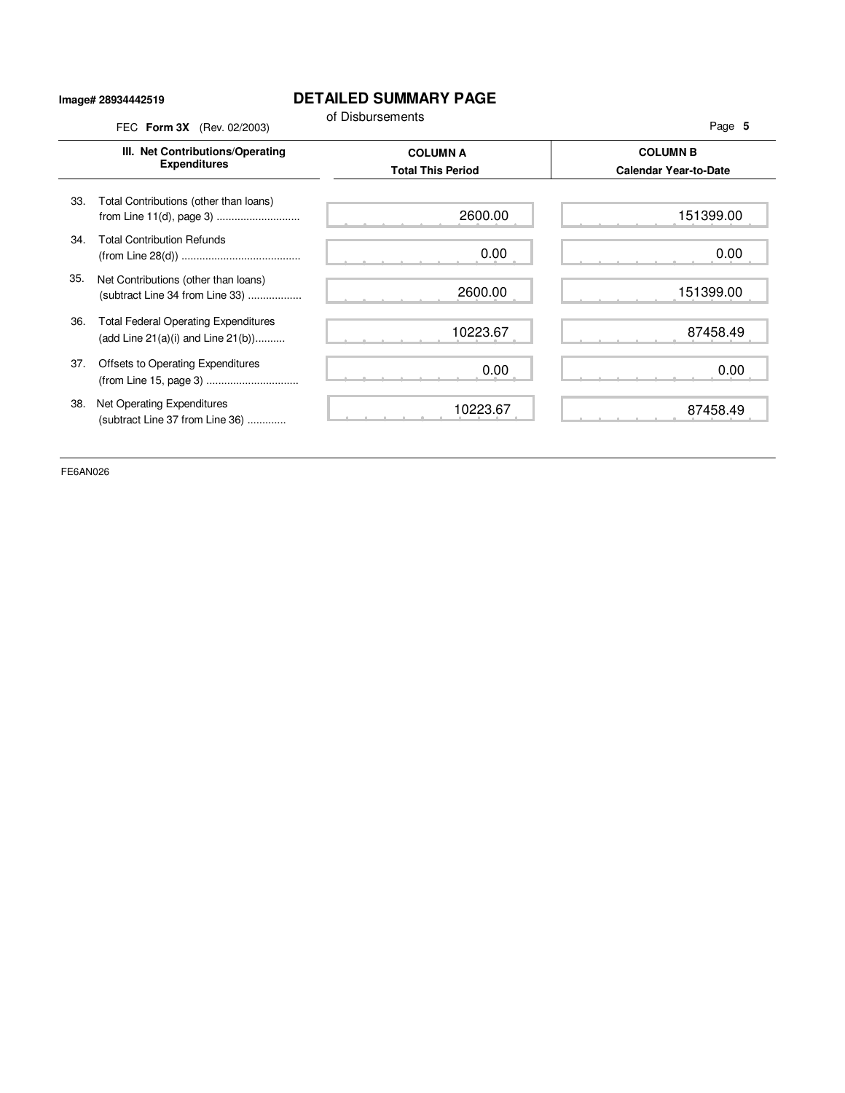#### **Image# 28934442519**

### **DETAILED SUMMARY PAGE**

|     | III. Net Contributions/Operating                                                       | <b>COLUMN A</b>          | <b>COLUMN B</b>              |
|-----|----------------------------------------------------------------------------------------|--------------------------|------------------------------|
|     | <b>Expenditures</b>                                                                    | <b>Total This Period</b> | <b>Calendar Year-to-Date</b> |
| 33. | Total Contributions (other than loans)<br>from Line 11(d), page 3)                     | 2600.00                  | 151399.00                    |
| 34. | <b>Total Contribution Refunds</b>                                                      | 0.00                     | 0.00                         |
| 35. | Net Contributions (other than loans)<br>(subtract Line 34 from Line 33)                | 2600.00                  | 151399.00                    |
| 36. | <b>Total Federal Operating Expenditures</b><br>(add Line $21(a)(i)$ and Line $21(b)$ ) | 10223.67                 | 87458.49                     |
| 37. | Offsets to Operating Expenditures<br>(from Line 15, page 3)                            | 0.00                     | 0.00                         |
| 38. | Net Operating Expenditures<br>(subtract Line 37 from Line 36)                          | 10223.67                 | 87458.49                     |

FE6AN026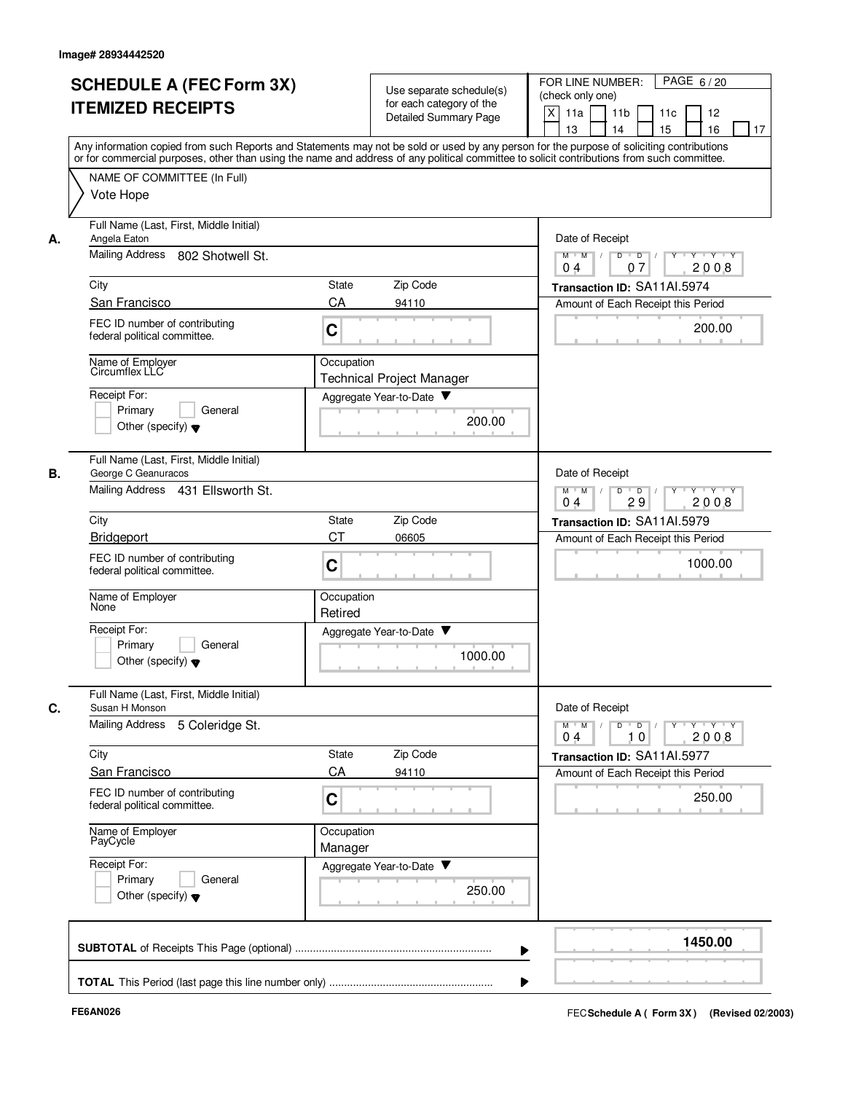| <b>SCHEDULE A (FEC Form 3X)</b><br><b>ITEMIZED RECEIPTS</b>                                               |                 | Use separate schedule(s)<br>for each category of the<br>Detailed Summary Page                  | PAGE 6/20<br>FOR LINE NUMBER:<br>(check only one)<br>X<br>11a<br>11 <sub>b</sub><br>11c<br>12<br>15<br>16<br>13<br>14<br>17                                                                                                                                                                                                                                                                                                                                        |
|-----------------------------------------------------------------------------------------------------------|-----------------|------------------------------------------------------------------------------------------------|--------------------------------------------------------------------------------------------------------------------------------------------------------------------------------------------------------------------------------------------------------------------------------------------------------------------------------------------------------------------------------------------------------------------------------------------------------------------|
| NAME OF COMMITTEE (In Full)<br>Vote Hope                                                                  |                 |                                                                                                | Any information copied from such Reports and Statements may not be sold or used by any person for the purpose of soliciting contributions<br>or for commercial purposes, other than using the name and address of any political committee to solicit contributions from such committee.                                                                                                                                                                            |
| Full Name (Last, First, Middle Initial)<br>Angela Eaton<br>А.<br>Mailing Address 802 Shotwell St.         |                 | Date of Receipt<br>Y Y Y Y<br>$M$ $M$ /<br>D<br>$\overline{D}$<br>2008<br>07<br>0 <sub>4</sub> |                                                                                                                                                                                                                                                                                                                                                                                                                                                                    |
| City                                                                                                      |                 | Zip Code<br><b>State</b>                                                                       | Transaction ID: SA11AI.5974                                                                                                                                                                                                                                                                                                                                                                                                                                        |
| San Francisco                                                                                             |                 | CA<br>94110                                                                                    | Amount of Each Receipt this Period                                                                                                                                                                                                                                                                                                                                                                                                                                 |
| FEC ID number of contributing<br>federal political committee.                                             | C               |                                                                                                | 200.00                                                                                                                                                                                                                                                                                                                                                                                                                                                             |
| Name of Employer<br>Circumflex LLC                                                                        |                 | Occupation<br><b>Technical Project Manager</b>                                                 |                                                                                                                                                                                                                                                                                                                                                                                                                                                                    |
| Receipt For:<br>Primary<br>Other (specify) $\blacktriangledown$                                           | General         | Aggregate Year-to-Date<br>200.00                                                               |                                                                                                                                                                                                                                                                                                                                                                                                                                                                    |
| Full Name (Last, First, Middle Initial)<br>В.<br>George C Geanuracos<br>Mailing Address 431 Ellsworth St. |                 |                                                                                                | Date of Receipt<br>D<br>$\overline{D}$<br>$M$ $M$<br>Y Y Y Y                                                                                                                                                                                                                                                                                                                                                                                                       |
| City                                                                                                      |                 | Zip Code<br>State                                                                              | 2008<br>04<br>29<br>Transaction ID: SA11Al.5979                                                                                                                                                                                                                                                                                                                                                                                                                    |
| Bridgeport                                                                                                |                 | CТ<br>06605                                                                                    | Amount of Each Receipt this Period                                                                                                                                                                                                                                                                                                                                                                                                                                 |
| FEC ID number of contributing<br>federal political committee.                                             | C               |                                                                                                | 1000.00                                                                                                                                                                                                                                                                                                                                                                                                                                                            |
| Name of Employer<br>None                                                                                  |                 | Occupation<br>Retired                                                                          |                                                                                                                                                                                                                                                                                                                                                                                                                                                                    |
| Receipt For:<br>Primary<br>Other (specify) $\blacktriangledown$                                           | General         | Aggregate Year-to-Date ▼<br>1000.00                                                            |                                                                                                                                                                                                                                                                                                                                                                                                                                                                    |
| Full Name (Last, First, Middle Initial)<br>C.<br>Susan H Monson                                           |                 |                                                                                                | Date of Receipt                                                                                                                                                                                                                                                                                                                                                                                                                                                    |
| <b>Mailing Address</b>                                                                                    | 5 Coleridge St. |                                                                                                | $\begin{array}{c c c c c c c c} \hline \textbf{I} & \textbf{I} & \textbf{I} & \textbf{I} & \textbf{I} & \textbf{I} & \textbf{I} & \textbf{I} & \textbf{I} & \textbf{I} & \textbf{I} & \textbf{I} & \textbf{I} & \textbf{I} & \textbf{I} & \textbf{I} & \textbf{I} & \textbf{I} & \textbf{I} & \textbf{I} & \textbf{I} & \textbf{I} & \textbf{I} & \textbf{I} & \textbf{I} & \textbf{I} & \textbf{I} & \textbf{I} &$<br>$M$ $M$ $/$<br>10<br>2008<br>0 <sub>4</sub> |
| City                                                                                                      |                 | Zip Code<br>State                                                                              | Transaction ID: SA11AI.5977                                                                                                                                                                                                                                                                                                                                                                                                                                        |
| San Francisco                                                                                             |                 | CA<br>94110                                                                                    | Amount of Each Receipt this Period                                                                                                                                                                                                                                                                                                                                                                                                                                 |
| FEC ID number of contributing<br>federal political committee.                                             | C               |                                                                                                | 250.00                                                                                                                                                                                                                                                                                                                                                                                                                                                             |
| Name of Employer<br>PayCycle                                                                              |                 | Occupation<br>Manager                                                                          |                                                                                                                                                                                                                                                                                                                                                                                                                                                                    |
| Receipt For:<br>Primary<br>Other (specify) $\blacktriangledown$                                           | General         | Aggregate Year-to-Date<br>250.00                                                               |                                                                                                                                                                                                                                                                                                                                                                                                                                                                    |
|                                                                                                           |                 |                                                                                                | 1450.00                                                                                                                                                                                                                                                                                                                                                                                                                                                            |
|                                                                                                           |                 |                                                                                                |                                                                                                                                                                                                                                                                                                                                                                                                                                                                    |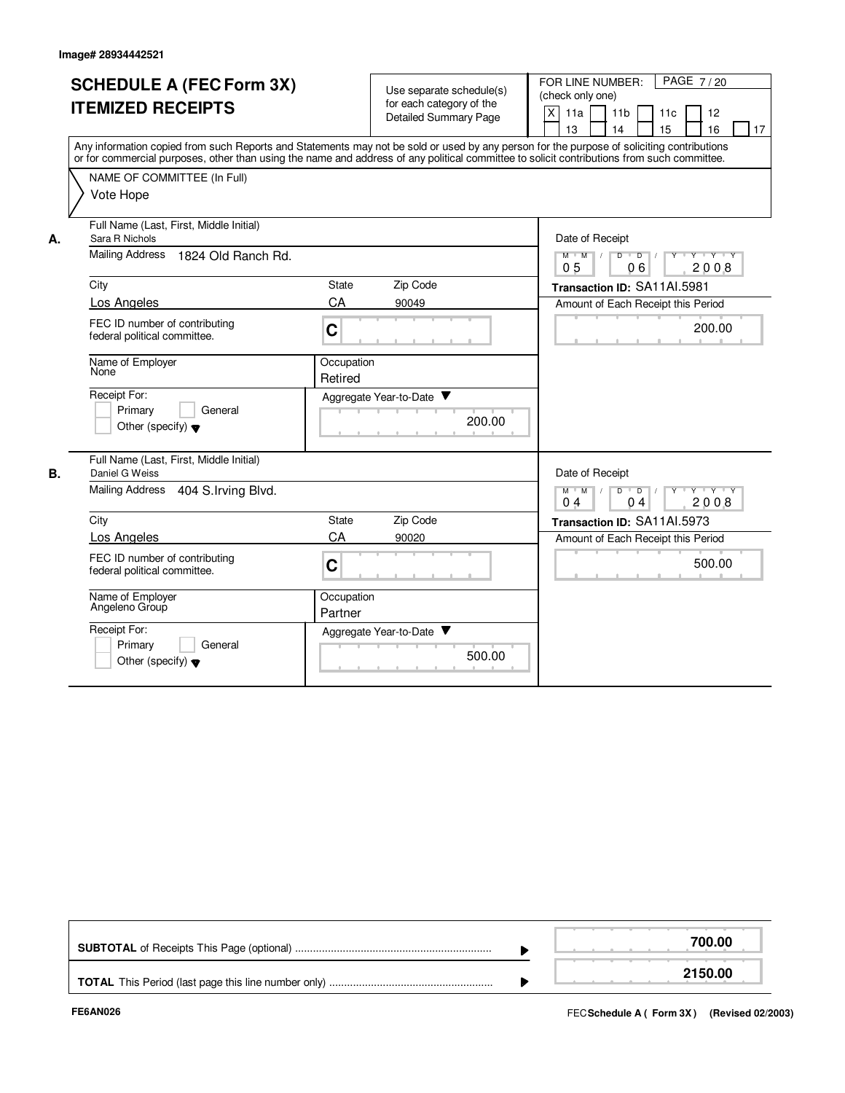|    | <b>SCHEDULE A (FEC Form 3X)</b><br><b>ITEMIZED RECEIPTS</b><br>Any information copied from such Reports and Statements may not be sold or used by any person for the purpose of soliciting contributions<br>or for commercial purposes, other than using the name and address of any political committee to solicit contributions from such committee.<br>NAME OF COMMITTEE (In Full)<br>Vote Hope |                       | Use separate schedule(s)<br>for each category of the<br><b>Detailed Summary Page</b> |        | PAGE 7/20<br>FOR LINE NUMBER:<br>(check only one)<br>X<br>11a<br>11 <sub>b</sub><br>11c<br>12<br>13<br>14<br>15<br>16<br>17                                                                    |
|----|----------------------------------------------------------------------------------------------------------------------------------------------------------------------------------------------------------------------------------------------------------------------------------------------------------------------------------------------------------------------------------------------------|-----------------------|--------------------------------------------------------------------------------------|--------|------------------------------------------------------------------------------------------------------------------------------------------------------------------------------------------------|
| А. | Full Name (Last, First, Middle Initial)<br>Sara R Nichols<br><b>Mailing Address</b><br>1824 Old Ranch Rd.                                                                                                                                                                                                                                                                                          |                       |                                                                                      |        | Date of Receipt<br>$Y + Y + Y$<br>$M$ $M$<br>$\overline{D}$<br>$\overline{D}$<br>2008<br>06<br>05                                                                                              |
|    | City<br>Los Angeles<br>FEC ID number of contributing<br>federal political committee.                                                                                                                                                                                                                                                                                                               | State<br>CA<br>C      | Zip Code<br>90049                                                                    |        | Transaction ID: SA11AI.5981<br>Amount of Each Receipt this Period<br>200.00                                                                                                                    |
|    | Name of Employer<br>None<br>Receipt For:<br>Primary<br>General<br>Other (specify) $\blacktriangledown$                                                                                                                                                                                                                                                                                             | Occupation<br>Retired | Aggregate Year-to-Date                                                               | 200.00 |                                                                                                                                                                                                |
| В. | Full Name (Last, First, Middle Initial)<br>Daniel G Weiss<br>Mailing Address<br>404 S. Irving Blvd.<br>City<br>Los Angeles<br>FEC ID number of contributing<br>federal political committee.                                                                                                                                                                                                        | State<br>CA<br>C      | Zip Code<br>90020                                                                    |        | Date of Receipt<br>$D$ $D$ $I$<br>$Y + Y + Y$<br>$M$ $M$ /<br>$Y$ <sup>-1</sup><br>0 <sub>4</sub><br>2008<br>04<br>Transaction ID: SA11AI.5973<br>Amount of Each Receipt this Period<br>500.00 |
|    | Name of Emplover<br>Angeleno Group<br>Receipt For:<br>Primary<br>General<br>Other (specify) $\blacktriangledown$                                                                                                                                                                                                                                                                                   | Occupation<br>Partner | Aggregate Year-to-Date                                                               | 500.00 |                                                                                                                                                                                                |

|  | 700.00  |
|--|---------|
|  | 2150.00 |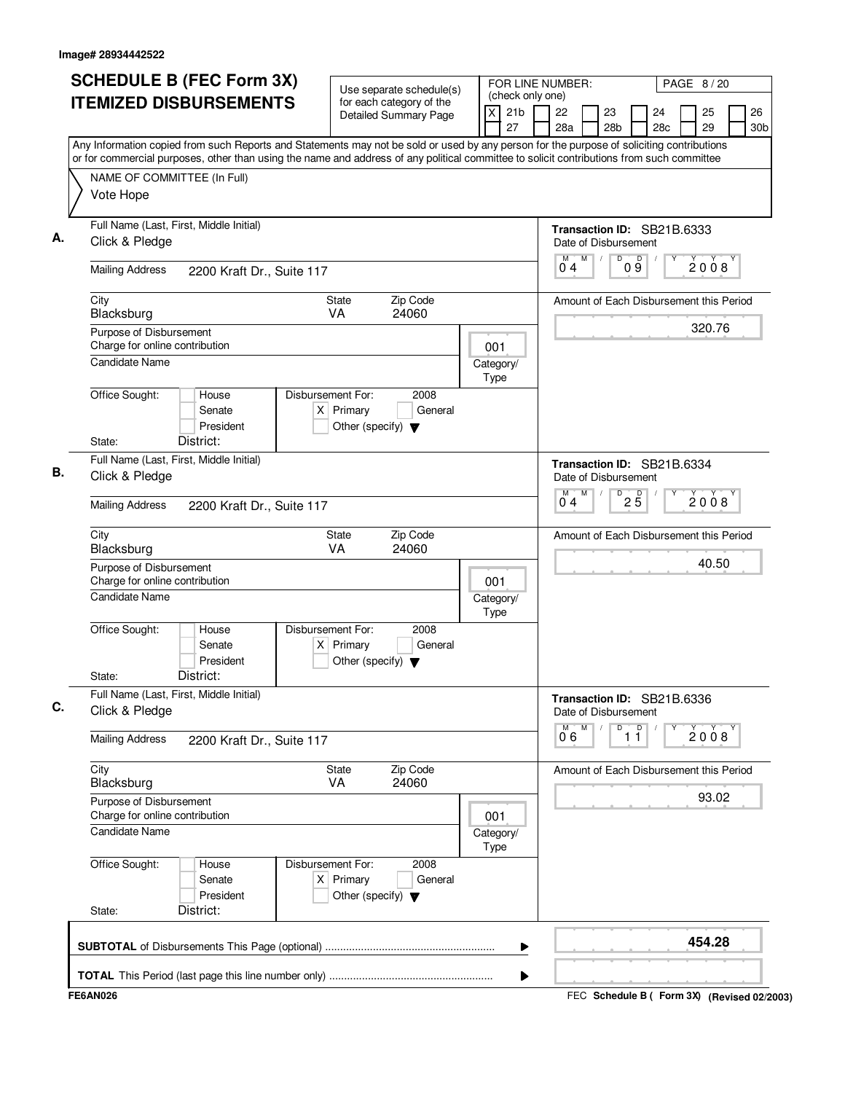| <b>SCHEDULE B (FEC Form 3X)</b>                                                                                                                                                                                                                                                        | Use separate schedule(s)                                                                    |     |                            | FOR LINE NUMBER:<br>PAGE 8/20<br>(check only one) |                                                    |    |                                                    |                               |           |          |                       |
|----------------------------------------------------------------------------------------------------------------------------------------------------------------------------------------------------------------------------------------------------------------------------------------|---------------------------------------------------------------------------------------------|-----|----------------------------|---------------------------------------------------|----------------------------------------------------|----|----------------------------------------------------|-------------------------------|-----------|----------|-----------------------|
| <b>ITEMIZED DISBURSEMENTS</b>                                                                                                                                                                                                                                                          | for each category of the<br>Detailed Summary Page                                           |     | 21 <sub>b</sub><br>X<br>27 |                                                   | 22<br>28a                                          |    | 23<br>28 <sub>b</sub>                              |                               | 24<br>28c | 25<br>29 | 26<br>30 <sub>b</sub> |
| Any Information copied from such Reports and Statements may not be sold or used by any person for the purpose of soliciting contributions<br>or for commercial purposes, other than using the name and address of any political committee to solicit contributions from such committee |                                                                                             |     |                            |                                                   |                                                    |    |                                                    |                               |           |          |                       |
| NAME OF COMMITTEE (In Full)                                                                                                                                                                                                                                                            |                                                                                             |     |                            |                                                   |                                                    |    |                                                    |                               |           |          |                       |
| Vote Hope                                                                                                                                                                                                                                                                              |                                                                                             |     |                            |                                                   |                                                    |    |                                                    |                               |           |          |                       |
| Full Name (Last, First, Middle Initial)<br>Click & Pledge                                                                                                                                                                                                                              |                                                                                             |     |                            |                                                   |                                                    |    | Transaction ID: SB21B.6333<br>Date of Disbursement |                               |           |          |                       |
| <b>Mailing Address</b><br>2200 Kraft Dr., Suite 117                                                                                                                                                                                                                                    |                                                                                             |     |                            |                                                   | M<br>04                                            | M  | D                                                  | 09                            |           | 2008     |                       |
| City<br>Blacksburg                                                                                                                                                                                                                                                                     | <b>State</b><br>Zip Code<br><b>VA</b><br>24060                                              |     |                            |                                                   | Amount of Each Disbursement this Period            |    |                                                    |                               |           |          |                       |
| Purpose of Disbursement<br>Charge for online contribution                                                                                                                                                                                                                              |                                                                                             |     | 001                        |                                                   |                                                    |    |                                                    |                               |           | 320.76   |                       |
| <b>Candidate Name</b>                                                                                                                                                                                                                                                                  |                                                                                             |     | Category/<br>Type          |                                                   |                                                    |    |                                                    |                               |           |          |                       |
| Office Sought:<br>House<br>Senate<br>President                                                                                                                                                                                                                                         | Disbursement For:<br>2008<br>$X$ Primary<br>General<br>Other (specify) $\blacktriangledown$ |     |                            |                                                   |                                                    |    |                                                    |                               |           |          |                       |
| State:<br>District:                                                                                                                                                                                                                                                                    |                                                                                             |     |                            |                                                   |                                                    |    |                                                    |                               |           |          |                       |
| Full Name (Last, First, Middle Initial)<br>Click & Pledge                                                                                                                                                                                                                              |                                                                                             |     |                            |                                                   | Transaction ID: SB21B.6334<br>Date of Disbursement |    |                                                    |                               |           |          |                       |
| <b>Mailing Address</b><br>2200 Kraft Dr., Suite 117                                                                                                                                                                                                                                    |                                                                                             |     | $M$ $M$<br>04              |                                                   | D                                                  | 25 |                                                    | 2008                          |           |          |                       |
| City<br>Blacksburg                                                                                                                                                                                                                                                                     | Zip Code<br><b>State</b><br><b>VA</b><br>24060                                              |     |                            |                                                   | Amount of Each Disbursement this Period            |    |                                                    |                               |           |          |                       |
| Purpose of Disbursement<br>Charge for online contribution                                                                                                                                                                                                                              |                                                                                             |     | 001                        |                                                   |                                                    |    |                                                    |                               |           | 40.50    |                       |
| Candidate Name                                                                                                                                                                                                                                                                         |                                                                                             |     | Category/<br>Type          |                                                   |                                                    |    |                                                    |                               |           |          |                       |
| Office Sought:<br>House<br>Senate<br>President                                                                                                                                                                                                                                         | Disbursement For:<br>2008<br>$X$ Primary<br>General<br>Other (specify) $\blacktriangledown$ |     |                            |                                                   |                                                    |    |                                                    |                               |           |          |                       |
| District:<br>State:                                                                                                                                                                                                                                                                    |                                                                                             |     |                            |                                                   |                                                    |    |                                                    |                               |           |          |                       |
| Full Name (Last, First, Middle Initial)<br>Click & Pledge                                                                                                                                                                                                                              |                                                                                             |     |                            |                                                   | Transaction ID: SB21B.6336<br>Date of Disbursement |    |                                                    |                               |           |          |                       |
| <b>Mailing Address</b><br>2200 Kraft Dr., Suite 117                                                                                                                                                                                                                                    |                                                                                             |     |                            |                                                   | $\overline{0}^{\overline{M}}$ 6                    | M  | D                                                  | $\overline{1}$ $\overline{1}$ |           | 2008     |                       |
| City<br>Blacksburg                                                                                                                                                                                                                                                                     | Zip Code<br>State<br>VA<br>24060                                                            |     |                            |                                                   | Amount of Each Disbursement this Period            |    |                                                    |                               |           |          |                       |
| Purpose of Disbursement<br>Charge for online contribution                                                                                                                                                                                                                              |                                                                                             | 001 |                            |                                                   |                                                    |    |                                                    |                               | 93.02     |          |                       |
| <b>Candidate Name</b>                                                                                                                                                                                                                                                                  |                                                                                             |     | Category/<br>Type          |                                                   |                                                    |    |                                                    |                               |           |          |                       |
| Office Sought:<br>House<br>Senate<br>President                                                                                                                                                                                                                                         | Disbursement For:<br>2008<br>$X$ Primary<br>General<br>Other (specify) $\blacktriangledown$ |     |                            |                                                   |                                                    |    |                                                    |                               |           |          |                       |
| District:<br>State:                                                                                                                                                                                                                                                                    |                                                                                             |     |                            |                                                   |                                                    |    |                                                    |                               |           |          |                       |
|                                                                                                                                                                                                                                                                                        |                                                                                             |     |                            |                                                   |                                                    |    |                                                    |                               |           | 454.28   |                       |

FEC **Schedule B ( ) Form 3X FE6AN026 (Revised 02/2003)**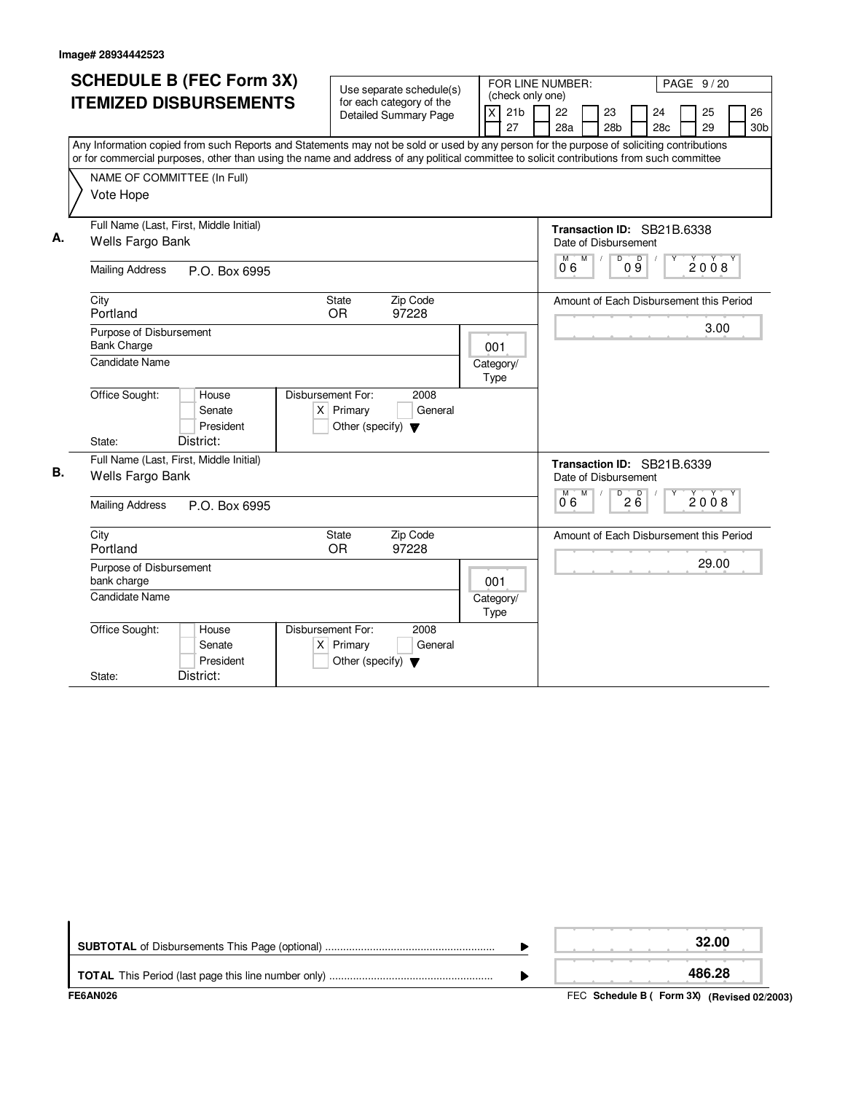|    | <b>SCHEDULE B (FEC Form 3X)</b>                                                                                                           |                                                          |                            |                                                                    |
|----|-------------------------------------------------------------------------------------------------------------------------------------------|----------------------------------------------------------|----------------------------|--------------------------------------------------------------------|
|    |                                                                                                                                           | Use separate schedule(s)                                 | (check only one)           | FOR LINE NUMBER:<br>PAGE 9/20                                      |
|    | <b>ITEMIZED DISBURSEMENTS</b>                                                                                                             | for each category of the<br><b>Detailed Summary Page</b> |                            |                                                                    |
|    |                                                                                                                                           |                                                          | 21 <sub>b</sub><br>X<br>27 | 22<br>24<br>25<br>26<br>23                                         |
|    |                                                                                                                                           |                                                          |                            | 28a<br>28 <sub>b</sub><br>28 <sub>c</sub><br>29<br>30 <sub>b</sub> |
|    | Any Information copied from such Reports and Statements may not be sold or used by any person for the purpose of soliciting contributions |                                                          |                            |                                                                    |
|    | or for commercial purposes, other than using the name and address of any political committee to solicit contributions from such committee |                                                          |                            |                                                                    |
|    | NAME OF COMMITTEE (In Full)                                                                                                               |                                                          |                            |                                                                    |
|    | Vote Hope                                                                                                                                 |                                                          |                            |                                                                    |
|    |                                                                                                                                           |                                                          |                            |                                                                    |
|    | Full Name (Last, First, Middle Initial)                                                                                                   |                                                          |                            | Transaction ID: SB21B.6338                                         |
| А. | Wells Fargo Bank                                                                                                                          |                                                          |                            | Date of Disbursement                                               |
|    |                                                                                                                                           |                                                          |                            | $M$ $M$ /<br>D<br>09<br>2008                                       |
|    | <b>Mailing Address</b><br>P.O. Box 6995                                                                                                   |                                                          |                            | 06                                                                 |
|    | City                                                                                                                                      | Zip Code<br><b>State</b>                                 |                            | Amount of Each Disbursement this Period                            |
|    | Portland                                                                                                                                  | <b>OR</b><br>97228                                       |                            |                                                                    |
|    | Purpose of Disbursement                                                                                                                   |                                                          |                            | 3.00                                                               |
|    | <b>Bank Charge</b>                                                                                                                        |                                                          | 001                        |                                                                    |
|    | Candidate Name                                                                                                                            |                                                          | Category/                  |                                                                    |
|    |                                                                                                                                           |                                                          | Type                       |                                                                    |
|    | Office Sought:<br>House                                                                                                                   | Disbursement For:<br>2008                                |                            |                                                                    |
|    | Senate                                                                                                                                    | $X$ Primary<br>General                                   |                            |                                                                    |
|    | President                                                                                                                                 | Other (specify) $\blacktriangledown$                     |                            |                                                                    |
|    | District:<br>State:                                                                                                                       |                                                          |                            |                                                                    |
|    |                                                                                                                                           |                                                          |                            |                                                                    |
| В. | Full Name (Last, First, Middle Initial)                                                                                                   |                                                          |                            | Transaction ID: SB21B.6339                                         |
|    | Wells Fargo Bank                                                                                                                          |                                                          |                            | Date of Disbursement                                               |
|    | <b>Mailing Address</b><br>P.O. Box 6995                                                                                                   |                                                          |                            | D<br>M<br>M<br>$2\overline{6}$<br>$\check{2}0\check{0}8$<br>06     |
|    |                                                                                                                                           |                                                          |                            |                                                                    |
|    | City                                                                                                                                      | Zip Code<br><b>State</b>                                 |                            | Amount of Each Disbursement this Period                            |
|    | Portland                                                                                                                                  | <b>OR</b><br>97228                                       |                            |                                                                    |
|    | Purpose of Disbursement                                                                                                                   |                                                          |                            | 29.00                                                              |
|    | bank charge                                                                                                                               |                                                          | 001                        |                                                                    |
|    | <b>Candidate Name</b>                                                                                                                     |                                                          | Category/                  |                                                                    |
|    |                                                                                                                                           |                                                          | Type                       |                                                                    |
|    | Office Sought:<br>House                                                                                                                   | Disbursement For:<br>2008                                |                            |                                                                    |
|    | Senate                                                                                                                                    | $X$ Primary<br>General                                   |                            |                                                                    |
|    | President                                                                                                                                 | Other (specify) $\blacktriangledown$                     |                            |                                                                    |
|    | District:<br>State:                                                                                                                       |                                                          |                            |                                                                    |

|                 | 32.00  |
|-----------------|--------|
|                 | 486.28 |
| <b>FEAANDOO</b> |        |

FEC **Schedule B ( ) Form 3X FE6AN026 (Revised 02/2003)**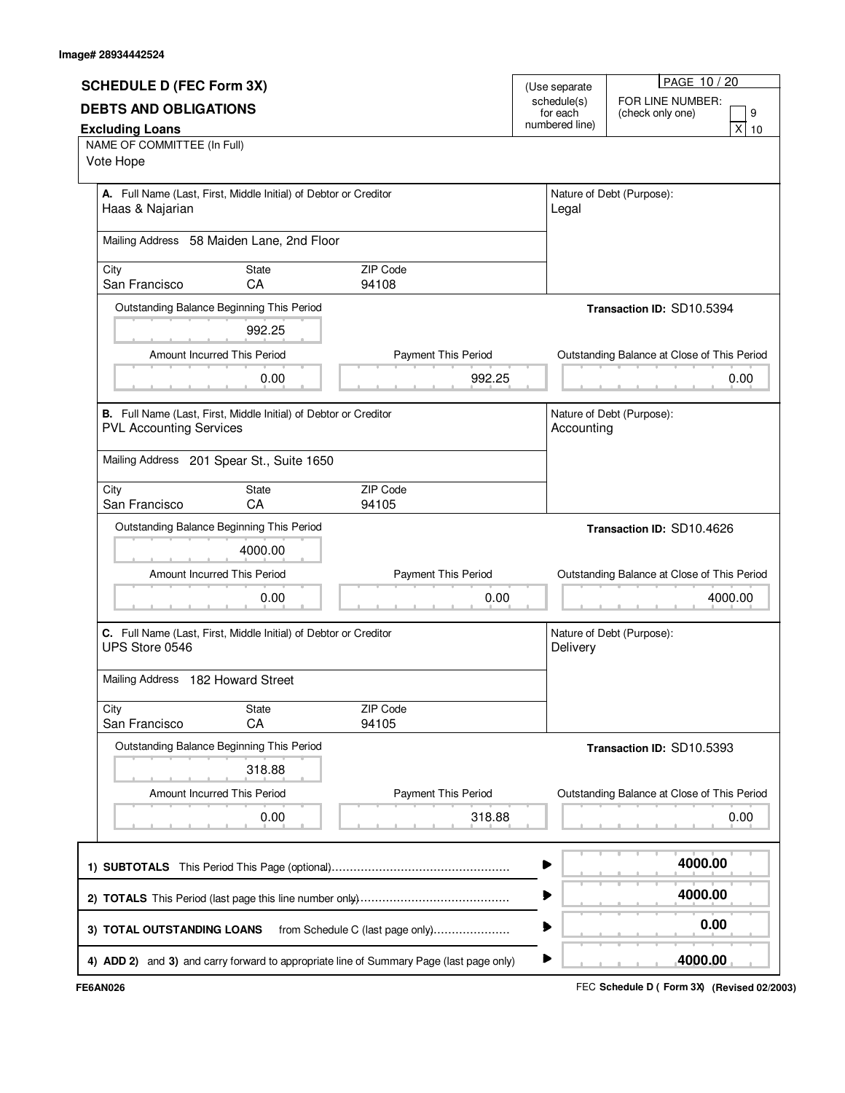| <b>SCHEDULE D (FEC Form 3X)</b>                                                                    |              |                                  | (Use separate              | PAGE 10 / 20                                |
|----------------------------------------------------------------------------------------------------|--------------|----------------------------------|----------------------------|---------------------------------------------|
|                                                                                                    |              |                                  | schedule(s)                | FOR LINE NUMBER:                            |
| <b>DEBTS AND OBLIGATIONS</b><br><b>Excluding Loans</b>                                             |              |                                  | for each<br>numbered line) | (check only one)<br>9<br>x<br>10            |
| NAME OF COMMITTEE (In Full)                                                                        |              |                                  |                            |                                             |
| Vote Hope                                                                                          |              |                                  |                            |                                             |
| A. Full Name (Last, First, Middle Initial) of Debtor or Creditor                                   |              |                                  |                            | Nature of Debt (Purpose):                   |
| Haas & Najarian                                                                                    |              |                                  | Legal                      |                                             |
| Mailing Address 58 Maiden Lane, 2nd Floor                                                          |              |                                  |                            |                                             |
|                                                                                                    |              |                                  |                            |                                             |
| City<br>San Francisco                                                                              | State<br>CA  | ZIP Code<br>94108                |                            |                                             |
| Outstanding Balance Beginning This Period                                                          |              |                                  |                            | Transaction ID: SD10.5394                   |
|                                                                                                    | 992.25       |                                  |                            |                                             |
| Amount Incurred This Period                                                                        |              | Payment This Period              |                            | Outstanding Balance at Close of This Period |
|                                                                                                    | 0.00         | 992.25                           |                            | 0.00                                        |
|                                                                                                    |              |                                  |                            |                                             |
| B. Full Name (Last, First, Middle Initial) of Debtor or Creditor<br><b>PVL Accounting Services</b> |              |                                  | Accounting                 | Nature of Debt (Purpose):                   |
|                                                                                                    |              |                                  |                            |                                             |
| Mailing Address 201 Spear St., Suite 1650                                                          |              |                                  |                            |                                             |
| City                                                                                               | <b>State</b> | ZIP Code                         |                            |                                             |
| San Francisco                                                                                      | CA           | 94105                            |                            |                                             |
| Outstanding Balance Beginning This Period                                                          |              |                                  |                            | <b>Transaction ID: SD10.4626</b>            |
|                                                                                                    | 4000.00      |                                  |                            |                                             |
| Amount Incurred This Period                                                                        |              | Payment This Period              |                            | Outstanding Balance at Close of This Period |
|                                                                                                    | 0.00         | 0.00                             |                            | 4000.00                                     |
|                                                                                                    |              |                                  |                            |                                             |
| C. Full Name (Last, First, Middle Initial) of Debtor or Creditor<br>UPS Store 0546                 |              |                                  | Delivery                   | Nature of Debt (Purpose):                   |
|                                                                                                    |              |                                  |                            |                                             |
|                                                                                                    |              |                                  |                            |                                             |
| Mailing Address 182 Howard Street                                                                  |              |                                  |                            |                                             |
| City                                                                                               | <b>State</b> | ZIP Code                         |                            |                                             |
| San Francisco                                                                                      | CA           | 94105                            |                            |                                             |
| Outstanding Balance Beginning This Period                                                          |              |                                  |                            | Transaction ID: SD10.5393                   |
|                                                                                                    | 318.88       |                                  |                            |                                             |
| Amount Incurred This Period                                                                        |              | Payment This Period              |                            | Outstanding Balance at Close of This Period |
|                                                                                                    | 0.00         | 318.88                           |                            | 0.00                                        |
|                                                                                                    |              |                                  |                            |                                             |
|                                                                                                    |              |                                  |                            | 4000.00                                     |
|                                                                                                    |              |                                  | ▶                          | 4000.00                                     |
|                                                                                                    |              |                                  |                            | 0.00                                        |
| 3) TOTAL OUTSTANDING LOANS                                                                         |              | from Schedule C (last page only) |                            | 4000.00                                     |

FEC **Schedule D ( ) FE6AN026 Form 3X (Revised 02/2003)**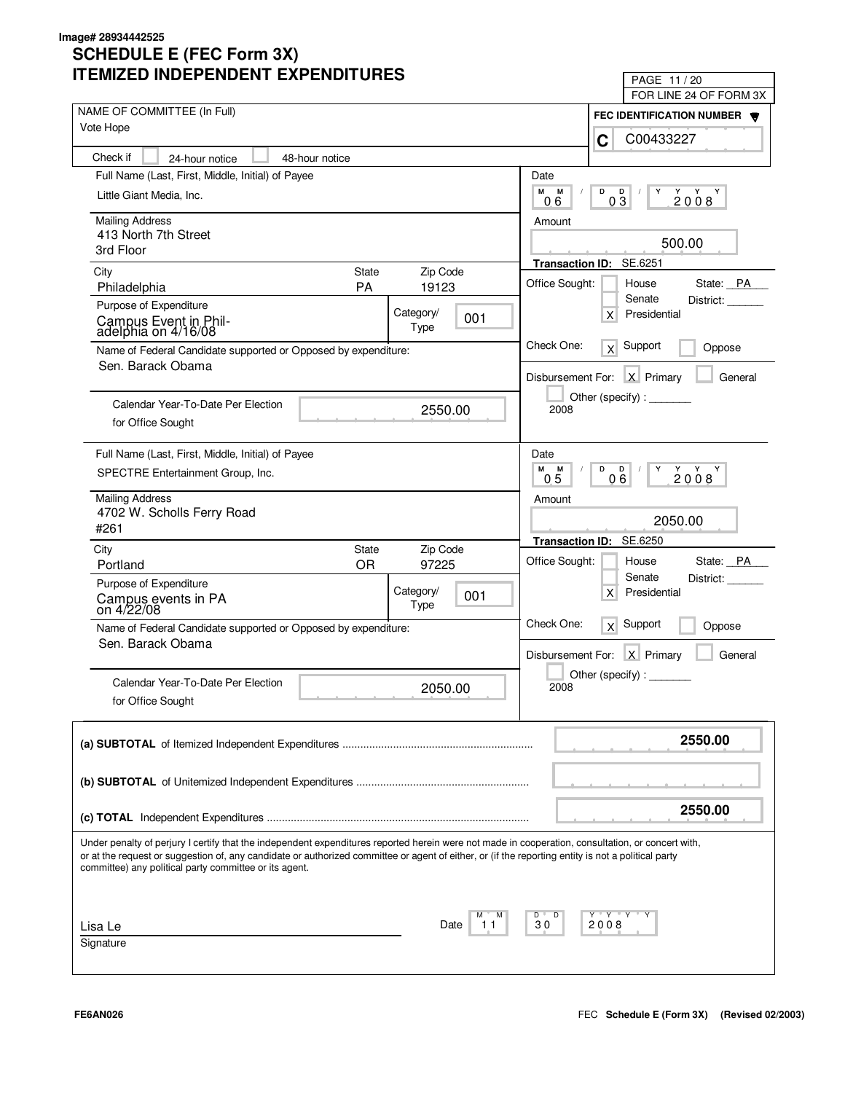#### **SCHEDULE E (FEC Form 3X) ITEMIZED INDEPENDENT EXPENDITURES Image# 28934442525**

| TEMIZED INDEPENDENT EXPENDITURES                                                                                                                                                                                                                                                                                                                                  |                    |                   |                | PAGE 11/20<br>FOR LINE 24 OF FORM 3X                            |
|-------------------------------------------------------------------------------------------------------------------------------------------------------------------------------------------------------------------------------------------------------------------------------------------------------------------------------------------------------------------|--------------------|-------------------|----------------|-----------------------------------------------------------------|
| NAME OF COMMITTEE (In Full)                                                                                                                                                                                                                                                                                                                                       |                    |                   |                | FEC IDENTIFICATION NUMBER                                       |
| Vote Hope                                                                                                                                                                                                                                                                                                                                                         |                    |                   |                | C00433227<br>C                                                  |
| Check if<br>24-hour notice                                                                                                                                                                                                                                                                                                                                        | 48-hour notice     |                   |                |                                                                 |
| Full Name (Last, First, Middle, Initial) of Payee                                                                                                                                                                                                                                                                                                                 |                    |                   | Date           |                                                                 |
| Little Giant Media, Inc.                                                                                                                                                                                                                                                                                                                                          |                    |                   | М<br>M<br>06   | D<br>D<br>Y<br>2008<br>Y<br>03                                  |
| <b>Mailing Address</b>                                                                                                                                                                                                                                                                                                                                            |                    |                   | Amount         |                                                                 |
| 413 North 7th Street<br>3rd Floor                                                                                                                                                                                                                                                                                                                                 |                    |                   |                | 500.00                                                          |
|                                                                                                                                                                                                                                                                                                                                                                   |                    |                   |                | Transaction ID: SE.6251                                         |
| City<br>Philadelphia                                                                                                                                                                                                                                                                                                                                              | State<br><b>PA</b> | Zip Code<br>19123 | Office Sought: | State: PA<br>House                                              |
| Purpose of Expenditure                                                                                                                                                                                                                                                                                                                                            |                    |                   |                | Senate<br>District:                                             |
| Campus Event in Phil-<br>adelphia on 4/16/08                                                                                                                                                                                                                                                                                                                      | Category/          | 001<br>Type       |                | Presidential<br>$\times$                                        |
| Name of Federal Candidate supported or Opposed by expenditure:<br>Sen. Barack Obama                                                                                                                                                                                                                                                                               |                    |                   | Check One:     | Support<br>Oppose<br>x                                          |
|                                                                                                                                                                                                                                                                                                                                                                   |                    |                   |                | Disbursement For: X Primary<br>General                          |
| Calendar Year-To-Date Per Election                                                                                                                                                                                                                                                                                                                                |                    |                   |                | Other (specify):                                                |
| for Office Sought                                                                                                                                                                                                                                                                                                                                                 |                    | 2550.00           | 2008           |                                                                 |
| Full Name (Last, First, Middle, Initial) of Payee                                                                                                                                                                                                                                                                                                                 |                    |                   | Date           |                                                                 |
| SPECTRE Entertainment Group, Inc.                                                                                                                                                                                                                                                                                                                                 |                    |                   | M M<br>05      | D<br>D<br>2008<br>06                                            |
| <b>Mailing Address</b>                                                                                                                                                                                                                                                                                                                                            |                    |                   | Amount         |                                                                 |
| 4702 W. Scholls Ferry Road<br>#261                                                                                                                                                                                                                                                                                                                                |                    |                   |                | 2050.00                                                         |
|                                                                                                                                                                                                                                                                                                                                                                   | State              | Zip Code          |                | Transaction ID: SE.6250                                         |
| City<br>Portland                                                                                                                                                                                                                                                                                                                                                  | OR.                | 97225             | Office Sought: | House<br>State: PA                                              |
| Purpose of Expenditure                                                                                                                                                                                                                                                                                                                                            |                    |                   |                | Senate<br>District:                                             |
| Campus events in PA<br>on 4/22/08                                                                                                                                                                                                                                                                                                                                 | Category/          | 001<br>Type       |                | Presidential<br>X                                               |
| Name of Federal Candidate supported or Opposed by expenditure:                                                                                                                                                                                                                                                                                                    |                    |                   | Check One:     | $\overline{X}$ Support<br>Oppose                                |
| Sen. Barack Obama                                                                                                                                                                                                                                                                                                                                                 |                    |                   |                | Disbursement For: X Primary<br>General                          |
|                                                                                                                                                                                                                                                                                                                                                                   |                    |                   |                | Other (specify) : $\sqrt{\frac{1}{2} \sum_{r=1}^{r} (r - r)^2}$ |
| Calendar Year-To-Date Per Election                                                                                                                                                                                                                                                                                                                                |                    | 2050.00           | 2008           |                                                                 |
| for Office Sought                                                                                                                                                                                                                                                                                                                                                 |                    |                   |                |                                                                 |
|                                                                                                                                                                                                                                                                                                                                                                   |                    |                   |                | 2550.00                                                         |
|                                                                                                                                                                                                                                                                                                                                                                   |                    |                   |                |                                                                 |
|                                                                                                                                                                                                                                                                                                                                                                   |                    |                   |                |                                                                 |
|                                                                                                                                                                                                                                                                                                                                                                   |                    |                   |                | 2550.00                                                         |
| Under penalty of perjury I certify that the independent expenditures reported herein were not made in cooperation, consultation, or concert with,<br>or at the request or suggestion of, any candidate or authorized committee or agent of either, or (if the reporting entity is not a political party<br>committee) any political party committee or its agent. |                    |                   |                |                                                                 |
|                                                                                                                                                                                                                                                                                                                                                                   |                    |                   |                |                                                                 |
| Lisa Le<br>Signature                                                                                                                                                                                                                                                                                                                                              |                    | Date<br>11        | D<br>D "<br>30 | Y "Y "Y<br>2008                                                 |
|                                                                                                                                                                                                                                                                                                                                                                   |                    |                   |                |                                                                 |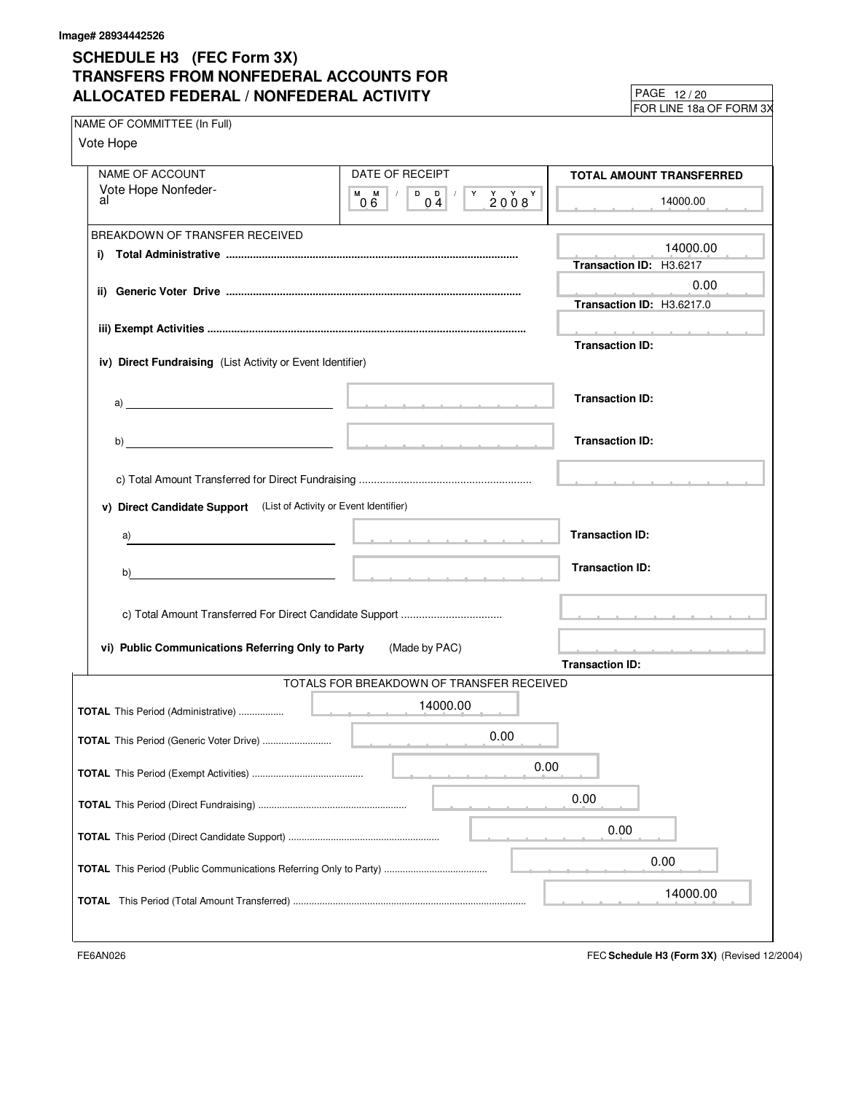## **SCHEDULE H3 (FEC Form 3X) TRANSFERS FROM NONFEDERAL ACCOUNTS FOR ALLOCATED FEDERAL / NONFEDERAL ACTIVITY**

FOR LINE 18a OF FORM 3X 12 / 20

| NAME OF COMMITTEE (In Full)                                |                                                                                                                 |                                           | $\mu$ UN LINL TOA UL TUNIVI JA                                                                                                                                                                                                       |
|------------------------------------------------------------|-----------------------------------------------------------------------------------------------------------------|-------------------------------------------|--------------------------------------------------------------------------------------------------------------------------------------------------------------------------------------------------------------------------------------|
| Vote Hope                                                  |                                                                                                                 |                                           |                                                                                                                                                                                                                                      |
|                                                            |                                                                                                                 |                                           |                                                                                                                                                                                                                                      |
| NAME OF ACCOUNT                                            |                                                                                                                 | DATE OF RECEIPT                           | TOTAL AMOUNT TRANSFERRED                                                                                                                                                                                                             |
| Vote Hope Nonfeder-<br>al                                  | $M$ $M$ $/$<br>06                                                                                               |                                           | 14000.00                                                                                                                                                                                                                             |
| BREAKDOWN OF TRANSFER RECEIVED                             |                                                                                                                 |                                           |                                                                                                                                                                                                                                      |
|                                                            |                                                                                                                 |                                           | 14000.00                                                                                                                                                                                                                             |
|                                                            |                                                                                                                 |                                           | Transaction ID: H3.6217                                                                                                                                                                                                              |
|                                                            |                                                                                                                 |                                           | 0.00                                                                                                                                                                                                                                 |
|                                                            |                                                                                                                 |                                           | Transaction ID: H3.6217.0                                                                                                                                                                                                            |
|                                                            |                                                                                                                 |                                           | the contract of the contract of the                                                                                                                                                                                                  |
|                                                            |                                                                                                                 |                                           | <b>Transaction ID:</b>                                                                                                                                                                                                               |
| iv) Direct Fundraising (List Activity or Event Identifier) |                                                                                                                 |                                           |                                                                                                                                                                                                                                      |
|                                                            |                                                                                                                 |                                           | <b>Transaction ID:</b>                                                                                                                                                                                                               |
|                                                            |                                                                                                                 |                                           |                                                                                                                                                                                                                                      |
|                                                            |                                                                                                                 |                                           |                                                                                                                                                                                                                                      |
|                                                            |                                                                                                                 |                                           | <b>Transaction ID:</b>                                                                                                                                                                                                               |
|                                                            |                                                                                                                 |                                           |                                                                                                                                                                                                                                      |
|                                                            |                                                                                                                 |                                           |                                                                                                                                                                                                                                      |
|                                                            | v) Direct Candidate Support (List of Activity or Event Identifier)                                              |                                           |                                                                                                                                                                                                                                      |
| a)                                                         |                                                                                                                 |                                           | <b>Transaction ID:</b>                                                                                                                                                                                                               |
|                                                            | the contract of the contract of the contract of the contract of the contract of the contract of the contract of |                                           |                                                                                                                                                                                                                                      |
| b)                                                         |                                                                                                                 |                                           | <b>Transaction ID:</b>                                                                                                                                                                                                               |
|                                                            |                                                                                                                 |                                           |                                                                                                                                                                                                                                      |
|                                                            |                                                                                                                 |                                           | <b>Contract and a second contract of the contract of the contract of the contract of the contract of the contract of the contract of the contract of the contract of the contract of the contract of the contract of the contrac</b> |
|                                                            |                                                                                                                 |                                           |                                                                                                                                                                                                                                      |
|                                                            | vi) Public Communications Referring Only to Party                                                               | (Made by PAC)                             | the contract of the contract of                                                                                                                                                                                                      |
|                                                            |                                                                                                                 |                                           | <b>Transaction ID:</b>                                                                                                                                                                                                               |
|                                                            |                                                                                                                 | TOTALS FOR BREAKDOWN OF TRANSFER RECEIVED |                                                                                                                                                                                                                                      |
|                                                            |                                                                                                                 | 14000.00                                  |                                                                                                                                                                                                                                      |
|                                                            |                                                                                                                 |                                           |                                                                                                                                                                                                                                      |
| <b>TOTAL</b> This Period (Generic Voter Drive)             |                                                                                                                 | 0.00                                      |                                                                                                                                                                                                                                      |
|                                                            |                                                                                                                 |                                           | 0.00                                                                                                                                                                                                                                 |
|                                                            |                                                                                                                 |                                           |                                                                                                                                                                                                                                      |
|                                                            |                                                                                                                 |                                           | 0.00                                                                                                                                                                                                                                 |
|                                                            |                                                                                                                 |                                           | 0.00                                                                                                                                                                                                                                 |
|                                                            |                                                                                                                 |                                           |                                                                                                                                                                                                                                      |
|                                                            |                                                                                                                 |                                           | 0.00                                                                                                                                                                                                                                 |
|                                                            |                                                                                                                 |                                           |                                                                                                                                                                                                                                      |
|                                                            |                                                                                                                 |                                           | 14000.00                                                                                                                                                                                                                             |
|                                                            |                                                                                                                 |                                           |                                                                                                                                                                                                                                      |
|                                                            |                                                                                                                 |                                           |                                                                                                                                                                                                                                      |

FE6AN026 FEC **Schedule H3 (Form 3X)** (Revised 12/2004)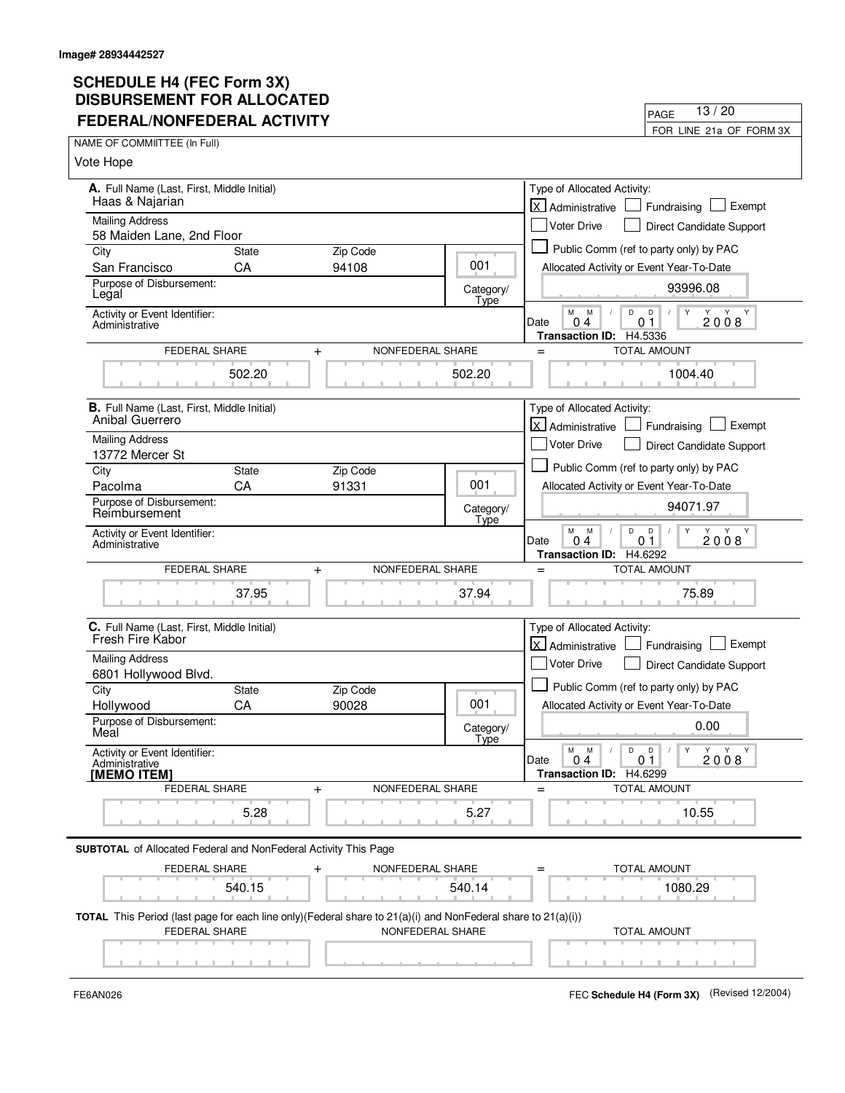| JDUNJEMENI I VII ALLV<br><b>FEDERAL/NONFEDERAL ACTIVITY</b>                                                                                |              |                  |                   | 13/20<br>PAGE                                                                                         |
|--------------------------------------------------------------------------------------------------------------------------------------------|--------------|------------------|-------------------|-------------------------------------------------------------------------------------------------------|
| NAME OF COMMIITTEE (In Full)                                                                                                               |              |                  |                   | FOR LINE 21a OF FORM 3X                                                                               |
| Vote Hope                                                                                                                                  |              |                  |                   |                                                                                                       |
|                                                                                                                                            |              |                  |                   |                                                                                                       |
| A. Full Name (Last, First, Middle Initial)<br>Haas & Najarian                                                                              |              |                  |                   | Type of Allocated Activity:                                                                           |
| <b>Mailing Address</b>                                                                                                                     |              |                  |                   | <b>X</b> Administrative<br>Exempt<br>Fundraising                                                      |
| 58 Maiden Lane, 2nd Floor                                                                                                                  |              |                  |                   | <b>Voter Drive</b><br>Direct Candidate Support                                                        |
| City                                                                                                                                       | State        | Zip Code         |                   | Public Comm (ref to party only) by PAC                                                                |
| San Francisco<br>Purpose of Disbursement:                                                                                                  | CA           | 94108            | 001               | Allocated Activity or Event Year-To-Date                                                              |
| Legal                                                                                                                                      |              |                  | Category/<br>Type | 93996.08                                                                                              |
| Activity or Event Identifier:<br>Administrative                                                                                            |              |                  |                   | D<br>D<br>Y<br>м<br>M<br>2008<br>Date<br>04<br>01<br>Transaction ID: H4.5336                          |
| FEDERAL SHARE                                                                                                                              | $\ddot{}$    | NONFEDERAL SHARE |                   | TOTAL AMOUNT<br>$=$                                                                                   |
|                                                                                                                                            | 502.20       |                  | 502.20            | 1004.40                                                                                               |
| <b>B.</b> Full Name (Last, First, Middle Initial)                                                                                          |              |                  |                   | Type of Allocated Activity:                                                                           |
| Anibal Guerrero                                                                                                                            |              |                  |                   | X Administrative<br>Exempt<br>Fundraising                                                             |
| <b>Mailing Address</b><br>13772 Mercer St                                                                                                  |              |                  |                   | <b>Voter Drive</b><br>Direct Candidate Support                                                        |
| City                                                                                                                                       | <b>State</b> | Zip Code         |                   | Public Comm (ref to party only) by PAC                                                                |
| Pacolma                                                                                                                                    | CA           | 91331            | 001               | Allocated Activity or Event Year-To-Date                                                              |
| Purpose of Disbursement:<br>Reimbursement                                                                                                  |              |                  | Category/<br>Type | 94071.97                                                                                              |
| Activity or Event Identifier:<br>Administrative                                                                                            |              |                  |                   | M<br>M<br>D<br>D<br>Y<br>Y Y<br>2008<br>04<br>0 <sub>1</sub><br>Date<br>Transaction ID: H4.6292       |
| FEDERAL SHARE                                                                                                                              | $\ddot{}$    | NONFEDERAL SHARE |                   | <b>TOTAL AMOUNT</b><br>$=$                                                                            |
|                                                                                                                                            | 37.95        |                  | 37.94             | 75.89                                                                                                 |
| C. Full Name (Last, First, Middle Initial)                                                                                                 |              |                  |                   | Type of Allocated Activity:                                                                           |
| Fresh Fire Kabor                                                                                                                           |              |                  |                   | X Administrative<br>Exempt<br>Fundraising                                                             |
| <b>Mailing Address</b><br>6801 Hollywood Blvd.                                                                                             |              |                  |                   | <b>Voter Drive</b><br><b>Direct Candidate Support</b>                                                 |
| City                                                                                                                                       | State        | Zip Code         |                   | Public Comm (ref to party only) by PAC                                                                |
| Hollywood                                                                                                                                  | CA           | 90028            | 001               | Allocated Activity or Event Year-To-Date                                                              |
| Purpose of Disbursement:<br>Meal                                                                                                           |              |                  | Category/<br>Type | 0.00                                                                                                  |
| Activity or Event Identifier:<br>Administrative<br>[MEMO ITEM]                                                                             |              |                  |                   | Y<br>М<br>M<br>D<br>D<br>Y<br>Y Y<br>2008<br>0.4<br>0 <sub>1</sub><br>Date<br>Transaction ID: H4.6299 |
| FEDERAL SHARE                                                                                                                              | $+$          | NONFEDERAL SHARE |                   | <b>TOTAL AMOUNT</b><br>$=$                                                                            |
|                                                                                                                                            | 5.28         |                  | 5.27              | 10.55                                                                                                 |
| <b>SUBTOTAL</b> of Allocated Federal and NonFederal Activity This Page                                                                     |              |                  |                   |                                                                                                       |
| <b>FEDERAL SHARE</b>                                                                                                                       | $\ddot{}$    | NONFEDERAL SHARE |                   | TOTAL AMOUNT<br>$=$                                                                                   |
|                                                                                                                                            | 540.15       |                  | 540.14            | 1080.29                                                                                               |
| <b>TOTAL</b> This Period (last page for each line only) (Federal share to $21(a)(i)$ and NonFederal share to $21(a)(i)$ )<br>FEDERAL SHARE |              | NONFEDERAL SHARE |                   | <b>TOTAL AMOUNT</b>                                                                                   |
|                                                                                                                                            |              |                  |                   |                                                                                                       |
|                                                                                                                                            |              |                  |                   |                                                                                                       |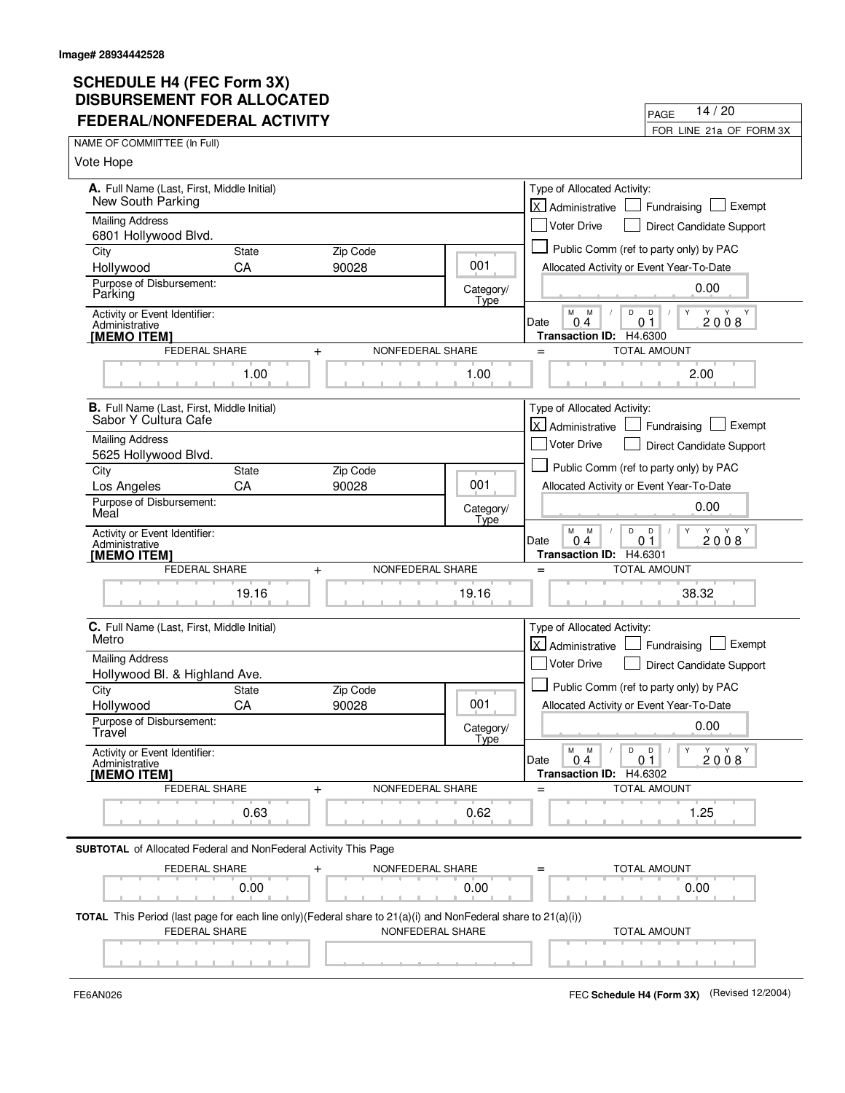| FEDERAL/NONFEDERAL ACTIVITY                                                                                               |                      |                               |                   | 14/20<br>PAGE                                                                 |
|---------------------------------------------------------------------------------------------------------------------------|----------------------|-------------------------------|-------------------|-------------------------------------------------------------------------------|
|                                                                                                                           |                      |                               |                   | FOR LINE 21a OF FORM 3X                                                       |
| NAME OF COMMIITTEE (In Full)                                                                                              |                      |                               |                   |                                                                               |
| Vote Hope                                                                                                                 |                      |                               |                   |                                                                               |
| A. Full Name (Last, First, Middle Initial)                                                                                |                      |                               |                   | Type of Allocated Activity:                                                   |
| New South Parking                                                                                                         |                      |                               |                   | X Administrative<br>Exempt<br>Fundraising                                     |
| <b>Mailing Address</b>                                                                                                    |                      |                               |                   | Voter Drive<br>Direct Candidate Support                                       |
| 6801 Hollywood Blvd.<br>City                                                                                              | <b>State</b>         | Zip Code                      |                   | Public Comm (ref to party only) by PAC                                        |
| Hollywood                                                                                                                 | CA                   | 90028                         | 001               | Allocated Activity or Event Year-To-Date                                      |
| Purpose of Disbursement:<br>Parking                                                                                       |                      |                               | Category/<br>Type | 0.00                                                                          |
| Activity or Event Identifier:                                                                                             |                      |                               |                   | M<br>D<br>D<br>Y<br>M<br>Y Y                                                  |
| Administrative<br>[MEMO ITEM]                                                                                             |                      |                               |                   | 2008<br>0 <sub>1</sub><br>Date<br>0<br>4<br>H4.6300<br><b>Transaction ID:</b> |
| FEDERAL SHARE                                                                                                             |                      | NONFEDERAL SHARE<br>$\ddot{}$ |                   | <b>TOTAL AMOUNT</b><br>$=$                                                    |
|                                                                                                                           | 1.00                 |                               | 1.00              | 2.00                                                                          |
|                                                                                                                           |                      |                               |                   |                                                                               |
| <b>B.</b> Full Name (Last, First, Middle Initial)<br>Sabor Y Cultura Cafe                                                 |                      |                               |                   | Type of Allocated Activity:<br>Exempt                                         |
| <b>Mailing Address</b>                                                                                                    |                      |                               |                   | X Administrative<br>Fundraising<br>Voter Drive                                |
| 5625 Hollywood Blvd.                                                                                                      |                      |                               |                   | Direct Candidate Support                                                      |
| City                                                                                                                      | State                | Zip Code                      |                   | Public Comm (ref to party only) by PAC                                        |
| Los Angeles                                                                                                               | CA                   | 90028                         | 001               | Allocated Activity or Event Year-To-Date                                      |
| Purpose of Disbursement:<br>Meal                                                                                          |                      |                               | Category/<br>Type | 0.00                                                                          |
| Activity or Event Identifier:                                                                                             |                      |                               |                   | M<br>M<br>D<br>D<br>Υ<br>Y Y<br>Y<br>2008<br>Date<br>0 <sub>4</sub><br>01     |
| Administrative<br>[MEMO ITEM]                                                                                             |                      |                               |                   | Transaction ID: H4.6301                                                       |
|                                                                                                                           | <b>FEDERAL SHARE</b> | NONFEDERAL SHARE<br>$\ddot{}$ |                   | <b>TOTAL AMOUNT</b><br>$=$                                                    |
|                                                                                                                           | 19.16                |                               | 19.16             | 38.32                                                                         |
| C. Full Name (Last, First, Middle Initial)                                                                                |                      |                               |                   | Type of Allocated Activity:                                                   |
| Metro                                                                                                                     |                      |                               |                   | <b>X</b> Administrative<br>Exempt<br>Fundraising                              |
| <b>Mailing Address</b>                                                                                                    |                      |                               |                   | Voter Drive<br>Direct Candidate Support                                       |
| Hollywood Bl. & Highland Ave.                                                                                             |                      |                               |                   | Public Comm (ref to party only) by PAC                                        |
| City<br>Hollywood                                                                                                         | <b>State</b><br>CA   | Zip Code<br>90028             | 001               | Allocated Activity or Event Year-To-Date                                      |
| Purpose of Disbursement:                                                                                                  |                      |                               |                   |                                                                               |
| Travel                                                                                                                    |                      |                               | Category/<br>Type | 0.00                                                                          |
| Activity or Event Identifier:<br>Administrative                                                                           |                      |                               |                   | D<br>D<br>Υ<br>M<br>M<br>Y<br>Y<br>Y<br>2008<br>Date<br>04<br>0 <sub>1</sub>  |
| [MEMO ITEM]                                                                                                               | FEDERAL SHARE        | NONFEDERAL SHARE<br>$\ddot{}$ |                   | Transaction ID: H4.6302<br>TOTAL AMOUNT<br>$=$                                |
|                                                                                                                           |                      |                               |                   |                                                                               |
|                                                                                                                           | 0.63                 |                               | 0.62              | 1.25                                                                          |
| <b>SUBTOTAL</b> of Allocated Federal and NonFederal Activity This Page                                                    |                      |                               |                   |                                                                               |
|                                                                                                                           | FEDERAL SHARE        | NONFEDERAL SHARE<br>$\,{}^+$  |                   | TOTAL AMOUNT                                                                  |
|                                                                                                                           | 0.00                 |                               | 0.00              | 0.00                                                                          |
| <b>TOTAL</b> This Period (last page for each line only) (Federal share to $21(a)(i)$ and NonFederal share to $21(a)(i)$ ) |                      |                               |                   |                                                                               |
| FEDERAL SHARE                                                                                                             |                      | NONFEDERAL SHARE              |                   | <b>TOTAL AMOUNT</b>                                                           |
|                                                                                                                           |                      |                               |                   |                                                                               |
|                                                                                                                           |                      |                               |                   |                                                                               |

FE6AN026 FEC **Schedule H4 (Form 3X)** (Revised 12/2004)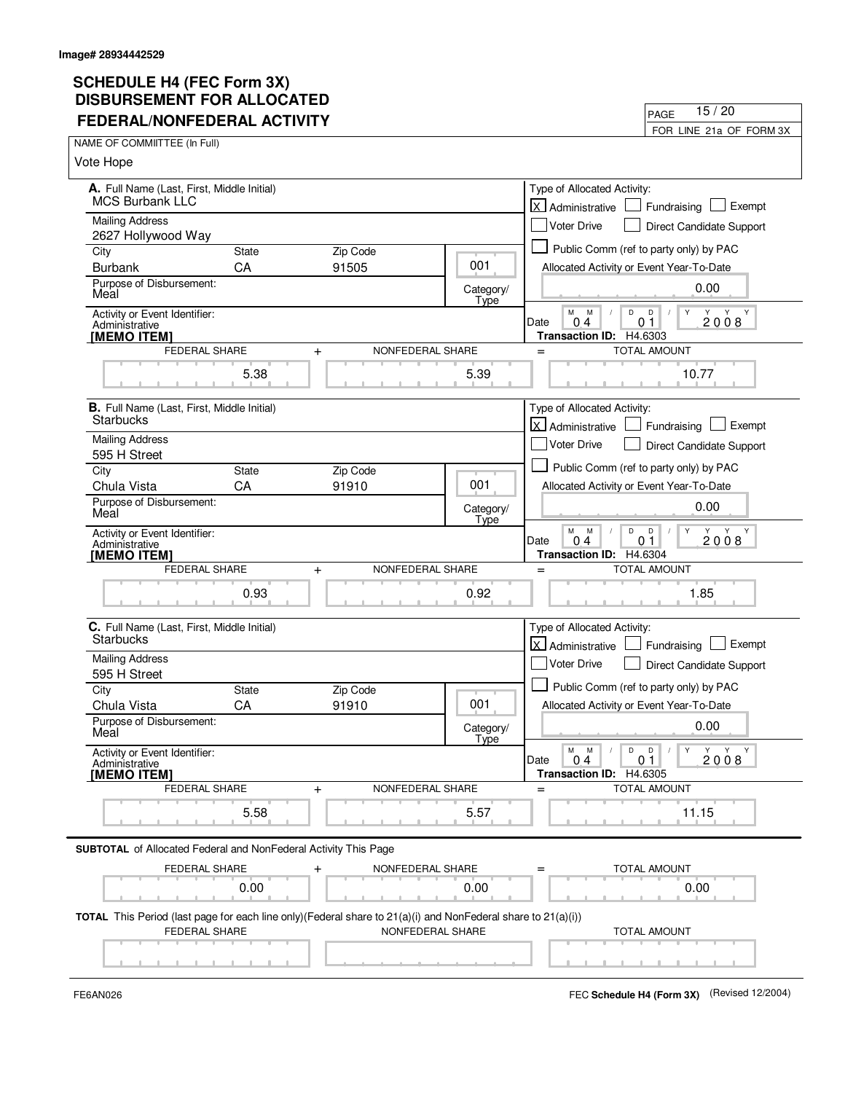| <b>FEDERAL/NONFEDERAL ACTIVITY</b>                                                                                        |                      |                               |                   | 15/20<br>PAGE                                                                |
|---------------------------------------------------------------------------------------------------------------------------|----------------------|-------------------------------|-------------------|------------------------------------------------------------------------------|
|                                                                                                                           |                      |                               |                   | FOR LINE 21a OF FORM 3X                                                      |
| NAME OF COMMIITTEE (In Full)                                                                                              |                      |                               |                   |                                                                              |
| Vote Hope                                                                                                                 |                      |                               |                   |                                                                              |
| A. Full Name (Last, First, Middle Initial)                                                                                |                      |                               |                   | Type of Allocated Activity:                                                  |
| <b>MCS Burbank LLC</b>                                                                                                    |                      |                               |                   | X Administrative<br>Exempt<br>Fundraising                                    |
| <b>Mailing Address</b>                                                                                                    |                      |                               |                   | Voter Drive<br>Direct Candidate Support                                      |
| 2627 Hollywood Way<br>City                                                                                                | <b>State</b>         | Zip Code                      |                   | Public Comm (ref to party only) by PAC                                       |
| <b>Burbank</b>                                                                                                            | CA                   | 91505                         | 001               | Allocated Activity or Event Year-To-Date                                     |
| Purpose of Disbursement:<br>Meal                                                                                          |                      |                               | Category/         | 0.00                                                                         |
| Activity or Event Identifier:                                                                                             |                      |                               | Type              | M<br>D<br>D<br>Y<br>M<br>Y Y                                                 |
| Administrative                                                                                                            |                      |                               |                   | 2008<br>0 <sub>1</sub><br>Date<br>0<br>4                                     |
| [MEMO ITEM]                                                                                                               | FEDERAL SHARE        | NONFEDERAL SHARE<br>$\ddot{}$ |                   | H4.6303<br><b>Transaction ID:</b><br><b>TOTAL AMOUNT</b><br>$=$              |
|                                                                                                                           |                      |                               |                   |                                                                              |
|                                                                                                                           | 5.38                 |                               | 5.39              | 10.77                                                                        |
| <b>B.</b> Full Name (Last, First, Middle Initial)                                                                         |                      |                               |                   | Type of Allocated Activity:                                                  |
| Starbucks                                                                                                                 |                      |                               |                   | X Administrative<br>Exempt<br>Fundraising                                    |
| <b>Mailing Address</b>                                                                                                    |                      |                               |                   | Voter Drive<br>Direct Candidate Support                                      |
| 595 H Street<br>City                                                                                                      | State                | Zip Code                      |                   | Public Comm (ref to party only) by PAC                                       |
| Chula Vista                                                                                                               | CA                   | 91910                         | 001               | Allocated Activity or Event Year-To-Date                                     |
| Purpose of Disbursement:                                                                                                  |                      |                               | Category/         | 0.00                                                                         |
| Meal                                                                                                                      |                      |                               | Type              |                                                                              |
| Activity or Event Identifier:<br>Administrative                                                                           |                      |                               |                   | M<br>M<br>D<br>D<br>Υ<br>Y Y<br>Y<br>2008<br>Date<br>0 <sub>4</sub><br>01    |
| [MEMO ITEM]                                                                                                               |                      |                               |                   | Transaction ID: H4.6304                                                      |
|                                                                                                                           | <b>FEDERAL SHARE</b> | NONFEDERAL SHARE<br>$\ddot{}$ |                   | <b>TOTAL AMOUNT</b><br>$=$                                                   |
|                                                                                                                           | 0.93                 |                               | 0.92              | 1.85                                                                         |
| C. Full Name (Last, First, Middle Initial)                                                                                |                      |                               |                   | Type of Allocated Activity:                                                  |
| <b>Starbucks</b>                                                                                                          |                      |                               |                   | <b>X</b> Administrative<br>Exempt<br>Fundraising                             |
| <b>Mailing Address</b>                                                                                                    |                      |                               |                   | Voter Drive<br>Direct Candidate Support                                      |
| 595 H Street<br>City                                                                                                      | <b>State</b>         |                               |                   | Public Comm (ref to party only) by PAC                                       |
| Chula Vista                                                                                                               | CA                   | Zip Code<br>91910             | 001               | Allocated Activity or Event Year-To-Date                                     |
| Purpose of Disbursement:                                                                                                  |                      |                               |                   | 0.00                                                                         |
| Meal                                                                                                                      |                      |                               | Category/<br>Type |                                                                              |
| Activity or Event Identifier:<br>Administrative                                                                           |                      |                               |                   | D<br>D<br>Υ<br>M<br>M<br>Y<br>Y<br>Y<br>2008<br>Date<br>04<br>0 <sub>1</sub> |
| [MEMO ITEM]                                                                                                               |                      |                               |                   | Transaction ID: H4.6305                                                      |
|                                                                                                                           | FEDERAL SHARE        | NONFEDERAL SHARE<br>$\ddot{}$ |                   | <b>TOTAL AMOUNT</b><br>$=$                                                   |
|                                                                                                                           | 5.58                 |                               | 5.57              | 11.15                                                                        |
| <b>SUBTOTAL</b> of Allocated Federal and NonFederal Activity This Page                                                    |                      |                               |                   |                                                                              |
|                                                                                                                           | FEDERAL SHARE        | NONFEDERAL SHARE<br>$\,{}^+$  |                   | TOTAL AMOUNT                                                                 |
|                                                                                                                           | 0.00                 |                               | 0.00              | 0.00                                                                         |
|                                                                                                                           |                      |                               |                   |                                                                              |
| <b>TOTAL</b> This Period (last page for each line only) (Federal share to $21(a)(i)$ and NonFederal share to $21(a)(i)$ ) |                      |                               |                   |                                                                              |
|                                                                                                                           | FEDERAL SHARE        |                               | NONFEDERAL SHARE  | <b>TOTAL AMOUNT</b>                                                          |
|                                                                                                                           |                      |                               |                   |                                                                              |
|                                                                                                                           |                      |                               |                   |                                                                              |

FE6AN026 FEC **Schedule H4 (Form 3X)** (Revised 12/2004)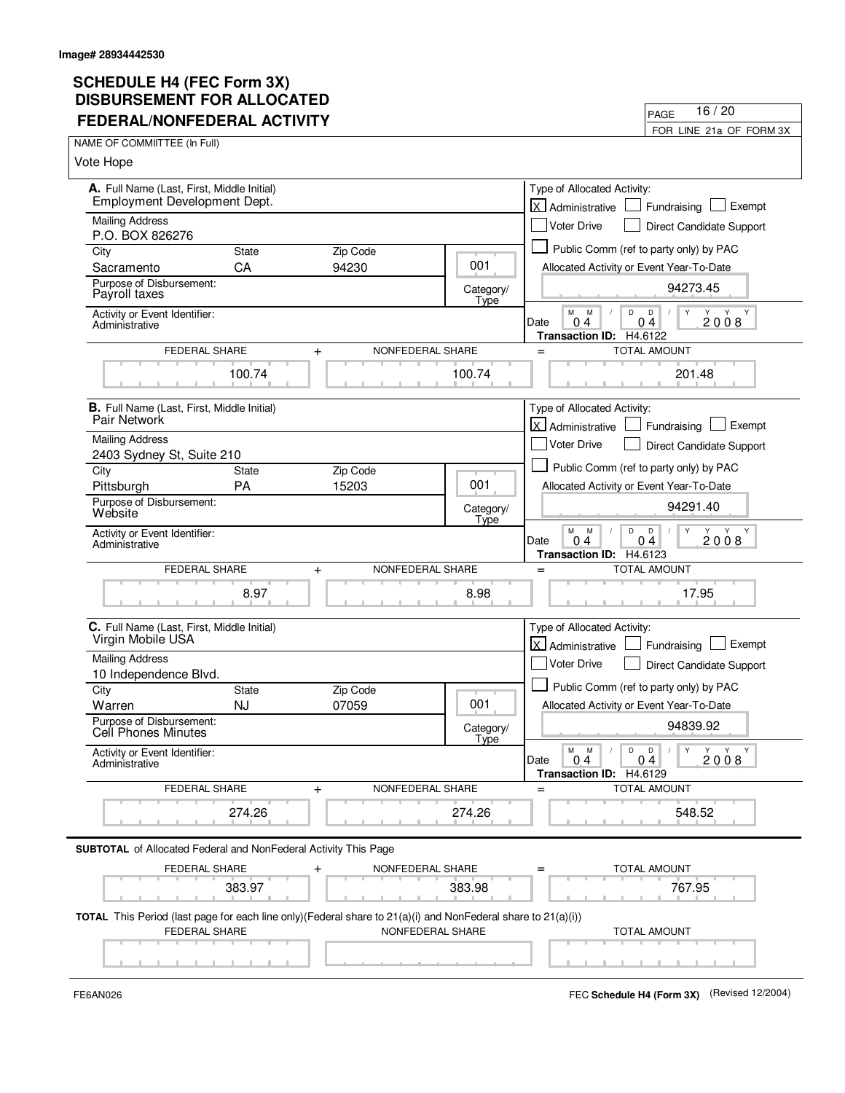| <b>FEDERAL/NONFEDERAL ACTIVITY</b>                                                                            |              |                               |                   | 16/20<br>PAGE                                                                            |
|---------------------------------------------------------------------------------------------------------------|--------------|-------------------------------|-------------------|------------------------------------------------------------------------------------------|
|                                                                                                               |              |                               |                   | FOR LINE 21a OF FORM 3X                                                                  |
| NAME OF COMMIITTEE (In Full)                                                                                  |              |                               |                   |                                                                                          |
| Vote Hope                                                                                                     |              |                               |                   |                                                                                          |
| A. Full Name (Last, First, Middle Initial)                                                                    |              |                               |                   | Type of Allocated Activity:                                                              |
| Employment Development Dept.                                                                                  |              |                               |                   | X Administrative<br>Exempt<br>Fundraising                                                |
| <b>Mailing Address</b><br>P.O. BOX 826276                                                                     |              |                               |                   | Voter Drive<br>Direct Candidate Support                                                  |
| City                                                                                                          | <b>State</b> | Zip Code                      |                   | Public Comm (ref to party only) by PAC                                                   |
| Sacramento                                                                                                    | CA           | 94230                         | 001               | Allocated Activity or Event Year-To-Date                                                 |
| Purpose of Disbursement:<br>Payroll taxes                                                                     |              |                               | Category/<br>Type | 94273.45                                                                                 |
| Activity or Event Identifier:<br>Administrative                                                               |              |                               |                   | M<br>D<br>D<br>M<br>Y<br>2008<br>0 <sub>4</sub><br>Date<br>04<br>Transaction ID: H4.6122 |
| FEDERAL SHARE                                                                                                 |              | NONFEDERAL SHARE<br>$\ddot{}$ |                   | <b>TOTAL AMOUNT</b><br>$=$                                                               |
|                                                                                                               | 100.74       |                               | 100.74            | 201.48                                                                                   |
| <b>B.</b> Full Name (Last, First, Middle Initial)                                                             |              |                               |                   | Type of Allocated Activity:                                                              |
| Pair Network                                                                                                  |              |                               |                   | X Administrative<br>Exempt<br>Fundraising                                                |
| <b>Mailing Address</b>                                                                                        |              |                               |                   | <b>Voter Drive</b><br>Direct Candidate Support                                           |
| 2403 Sydney St, Suite 210<br>City                                                                             | State        | Zip Code                      |                   | Public Comm (ref to party only) by PAC                                                   |
| Pittsburgh                                                                                                    | PA           | 15203                         | 001               | Allocated Activity or Event Year-To-Date                                                 |
| Purpose of Disbursement:<br>Website                                                                           |              |                               | Category/         | 94291.40                                                                                 |
|                                                                                                               |              |                               | Type              | M<br>M<br>D<br>D<br>Y<br>Y Y Y                                                           |
| Activity or Event Identifier:<br>Administrative                                                               |              |                               |                   | 2008<br>Date<br>0 <sub>4</sub><br>04                                                     |
| FEDERAL SHARE                                                                                                 |              | NONFEDERAL SHARE<br>$\ddot{}$ |                   | Transaction ID: H4.6123<br>TOTAL AMOUNT<br>$=$                                           |
|                                                                                                               |              |                               |                   |                                                                                          |
|                                                                                                               | 8.97         |                               | 8.98              | 17.95                                                                                    |
| C. Full Name (Last, First, Middle Initial)<br>Virgin Mobile USA                                               |              |                               |                   | Type of Allocated Activity:                                                              |
|                                                                                                               |              |                               |                   | <b>X</b> Administrative<br>Exempt<br>Fundraising                                         |
| <b>Mailing Address</b><br>10 Independence Blvd.                                                               |              |                               |                   | Voter Drive<br>Direct Candidate Support                                                  |
| City                                                                                                          | State        | Zip Code                      |                   | Public Comm (ref to party only) by PAC                                                   |
| Warren                                                                                                        | <b>NJ</b>    | 07059                         | 001               | Allocated Activity or Event Year-To-Date                                                 |
| Purpose of Disbursement:<br>Cell Phones Minutes                                                               |              |                               | Category/         | 94839.92                                                                                 |
| Activity or Event Identifier:<br>Administrative                                                               |              |                               | Type              | D<br>D<br>Υ<br>M<br>M<br>Y<br>Y Y<br>2008<br>0 <sub>4</sub><br>Date<br>04                |
|                                                                                                               |              |                               |                   | <b>Transaction ID:</b><br>H4.6129                                                        |
| FEDERAL SHARE                                                                                                 |              | NONFEDERAL SHARE<br>$\ddot{}$ |                   | <b>TOTAL AMOUNT</b><br>$=$                                                               |
|                                                                                                               | 274.26       |                               | 274.26            | 548.52                                                                                   |
| <b>SUBTOTAL</b> of Allocated Federal and NonFederal Activity This Page                                        |              |                               |                   |                                                                                          |
| FEDERAL SHARE                                                                                                 |              | NONFEDERAL SHARE<br>$\,{}^+$  |                   | TOTAL AMOUNT                                                                             |
|                                                                                                               | 383.97       |                               | 383.98            | 767.95                                                                                   |
| TOTAL This Period (last page for each line only) (Federal share to 21(a)(i) and NonFederal share to 21(a)(i)) |              |                               |                   |                                                                                          |
| FEDERAL SHARE                                                                                                 |              | NONFEDERAL SHARE              |                   | <b>TOTAL AMOUNT</b>                                                                      |
|                                                                                                               |              |                               |                   |                                                                                          |
|                                                                                                               |              |                               |                   |                                                                                          |

FE6AN026 FEC **Schedule H4 (Form 3X)** (Revised 12/2004)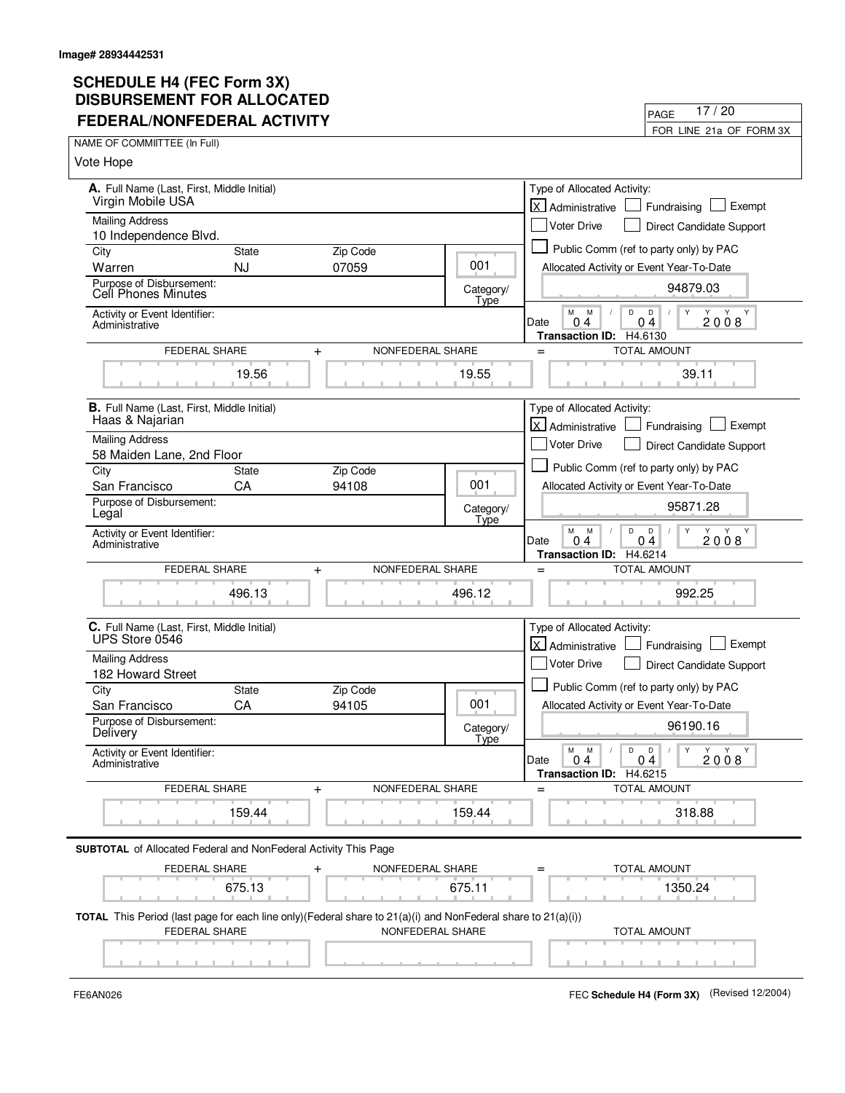| <b>FEDERAL/NONFEDERAL ACTIVITY</b>                                                                                        |                               |                   | 17/20<br>PAGE                                                                                       |
|---------------------------------------------------------------------------------------------------------------------------|-------------------------------|-------------------|-----------------------------------------------------------------------------------------------------|
| NAME OF COMMITTEE (In Full)                                                                                               |                               |                   | FOR LINE 21a OF FORM 3X                                                                             |
| Vote Hope                                                                                                                 |                               |                   |                                                                                                     |
|                                                                                                                           |                               |                   |                                                                                                     |
| A. Full Name (Last, First, Middle Initial)<br>Virgin Mobile USA                                                           |                               |                   | Type of Allocated Activity:<br><b>X</b> Administrative<br>Exempt<br>Fundraising                     |
| <b>Mailing Address</b>                                                                                                    |                               |                   | <b>Voter Drive</b><br>Direct Candidate Support                                                      |
| 10 Independence Blvd.<br><b>State</b>                                                                                     | Zip Code                      |                   | Public Comm (ref to party only) by PAC                                                              |
| City<br>Warren<br><b>NJ</b>                                                                                               | 07059                         | 001               | Allocated Activity or Event Year-To-Date                                                            |
| Purpose of Disbursement:<br>Cell Phones Minutes                                                                           |                               | Category/         | 94879.03                                                                                            |
| Activity or Event Identifier:<br>Administrative                                                                           |                               | Type              | M<br>M<br>D<br>Y<br>$\mathsf{D}$<br>2008<br>0 <sub>4</sub><br>Date<br>04<br>Transaction ID: H4.6130 |
| FEDERAL SHARE                                                                                                             | NONFEDERAL SHARE<br>$\ddot{}$ |                   | TOTAL AMOUNT<br>$=$                                                                                 |
| 19.56                                                                                                                     |                               | 19.55             | 39.11                                                                                               |
| <b>B.</b> Full Name (Last, First, Middle Initial)<br>Haas & Najarian                                                      |                               |                   | Type of Allocated Activity:                                                                         |
| <b>Mailing Address</b>                                                                                                    |                               |                   | X Administrative<br>Exempt<br>Fundraising                                                           |
| 58 Maiden Lane, 2nd Floor                                                                                                 |                               |                   | Voter Drive<br><b>Direct Candidate Support</b>                                                      |
| City<br>State                                                                                                             | Zip Code                      |                   | Public Comm (ref to party only) by PAC                                                              |
| CA<br>San Francisco                                                                                                       | 94108                         | 001               | Allocated Activity or Event Year-To-Date                                                            |
| Purpose of Disbursement:<br>Legal                                                                                         |                               | Category/<br>Type | 95871.28                                                                                            |
| Activity or Event Identifier:<br>Administrative                                                                           |                               |                   | M<br>M<br>D<br>D<br>Y<br>Y Y<br>2008<br>0 <sub>4</sub><br>Date<br>04<br>Transaction ID: H4.6214     |
| FEDERAL SHARE                                                                                                             | NONFEDERAL SHARE<br>$\ddot{}$ |                   | <b>TOTAL AMOUNT</b><br>$=$                                                                          |
| 496.13                                                                                                                    |                               | 496.12            | 992.25                                                                                              |
| C. Full Name (Last, First, Middle Initial)<br>UPS Store 0546                                                              |                               |                   | Type of Allocated Activity:<br>X Administrative<br>Exempt<br>Fundraising                            |
| <b>Mailing Address</b><br>182 Howard Street                                                                               |                               |                   | Voter Drive<br>Direct Candidate Support                                                             |
| City<br><b>State</b>                                                                                                      | Zip Code                      |                   | Public Comm (ref to party only) by PAC                                                              |
| CA<br>San Francisco                                                                                                       | 94105                         | 001               | Allocated Activity or Event Year-To-Date                                                            |
| Purpose of Disbursement:<br>Delivery                                                                                      |                               | Category/<br>Type | 96190.16                                                                                            |
| Activity or Event Identifier:<br>Administrative                                                                           |                               |                   | Y<br>M<br>M<br>D<br>D<br>Y Y Y<br>04<br>2008<br>Date<br>0.4<br>Transaction ID: H4.6215              |
| FEDERAL SHARE                                                                                                             | NONFEDERAL SHARE<br>$\ddot{}$ |                   | TOTAL AMOUNT<br>$=$                                                                                 |
| 159.44                                                                                                                    |                               | 159.44            | 318.88                                                                                              |
| <b>SUBTOTAL</b> of Allocated Federal and NonFederal Activity This Page                                                    |                               |                   |                                                                                                     |
| FEDERAL SHARE                                                                                                             | NONFEDERAL SHARE<br>$\ddot{}$ |                   | TOTAL AMOUNT<br>$=$                                                                                 |
| 675.13                                                                                                                    |                               | 675.11            | 1350.24                                                                                             |
| <b>TOTAL</b> This Period (last page for each line only) (Federal share to $21(a)(i)$ and NonFederal share to $21(a)(i)$ ) |                               |                   |                                                                                                     |
| FEDERAL SHARE                                                                                                             |                               | NONFEDERAL SHARE  | TOTAL AMOUNT                                                                                        |

FE6AN026 FEC **Schedule H4 (Form 3X)** (Revised 12/2004)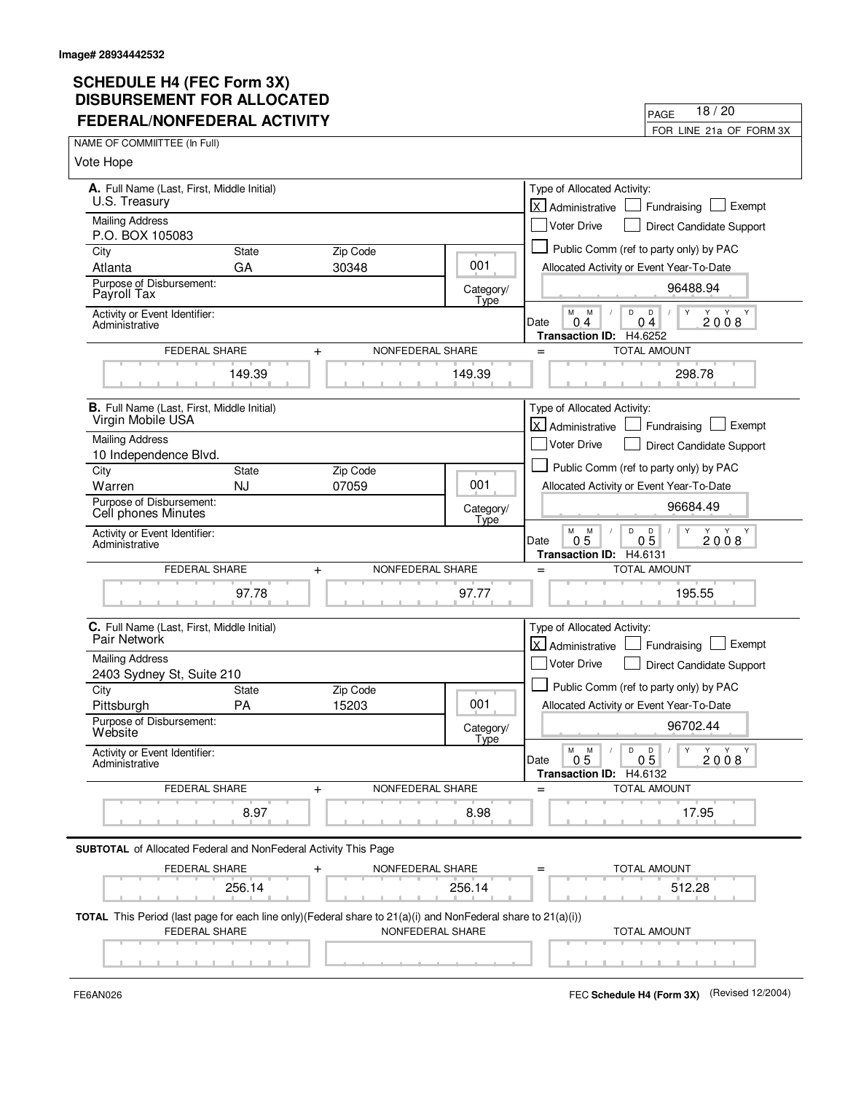| FEDERAL/NONFEDERAL ACTIVITY                                                                                  |                                                     | FOR LINE 21a OF FORM 3X                                                   |
|--------------------------------------------------------------------------------------------------------------|-----------------------------------------------------|---------------------------------------------------------------------------|
| NAME OF COMMITTEE (In Full)                                                                                  |                                                     |                                                                           |
| Vote Hope                                                                                                    |                                                     |                                                                           |
| A. Full Name (Last, First, Middle Initial)<br>U.S. Treasury                                                  | Type of Allocated Activity:<br>X Administrative     | Exempt<br>Fundraising                                                     |
| <b>Mailing Address</b><br>P.O. BOX 105083                                                                    | <b>Voter Drive</b>                                  | Direct Candidate Support                                                  |
| City<br><b>State</b><br>Zip Code                                                                             |                                                     | Public Comm (ref to party only) by PAC                                    |
| GA<br>Atlanta<br>30348                                                                                       | 001                                                 | Allocated Activity or Event Year-To-Date                                  |
| Purpose of Disbursement:<br>Payroll Tax                                                                      | Category/<br>Type                                   | 96488.94                                                                  |
| Activity or Event Identifier:<br>Administrative                                                              | M<br>M<br>04<br>Date                                | D<br>D<br>Y<br>Y Y Y<br>2008<br>0 <sub>4</sub><br>Transaction ID: H4.6252 |
| FEDERAL SHARE<br>NONFEDERAL SHARE<br>$\ddag$                                                                 | $=$                                                 | <b>TOTAL AMOUNT</b>                                                       |
| 149.39                                                                                                       | 149.39                                              | 298.78                                                                    |
| <b>B.</b> Full Name (Last, First, Middle Initial)<br>Virgin Mobile USA                                       | Type of Allocated Activity:<br>X Administrative     | Exempt<br>Fundraising                                                     |
| <b>Mailing Address</b><br>10 Independence Blvd.                                                              | <b>Voter Drive</b>                                  | <b>Direct Candidate Support</b>                                           |
| City<br>State<br>Zip Code                                                                                    |                                                     | Public Comm (ref to party only) by PAC                                    |
| Warren<br><b>NJ</b><br>07059                                                                                 | 001                                                 | Allocated Activity or Event Year-To-Date                                  |
| Purpose of Disbursement:<br>Cell phones Minutes                                                              | Category/<br>Type                                   | 96684.49                                                                  |
| Activity or Event Identifier:<br>Administrative                                                              | M<br>M<br>5<br>Date<br>0<br>Transaction ID: H4.6131 | D<br>D<br>Y<br>Y Y<br>2008<br>0 <sub>5</sub>                              |
| FEDERAL SHARE<br>NONFEDERAL SHARE<br>$\ddot{}$                                                               | $=$                                                 | <b>TOTAL AMOUNT</b>                                                       |
| 97.78                                                                                                        | 97.77                                               | 195.55                                                                    |
| C. Full Name (Last, First, Middle Initial)<br>Pair Network                                                   | Type of Allocated Activity:<br>X Administrative     | Exempt<br>Fundraising                                                     |
| <b>Mailing Address</b>                                                                                       | <b>Voter Drive</b>                                  | Direct Candidate Support                                                  |
| 2403 Sydney St, Suite 210                                                                                    |                                                     |                                                                           |
| Zip Code<br>City<br><b>State</b><br>PA<br>15203<br>Pittsburgh                                                | 001                                                 | Public Comm (ref to party only) by PAC                                    |
| Purpose of Disbursement:<br>Website                                                                          | Category/                                           | Allocated Activity or Event Year-To-Date<br>96702.44                      |
| Activity or Event Identifier:<br>Administrative                                                              | Type<br>M<br>M<br>0.5<br>Date                       | D<br>Y<br>D<br>$\sqrt{2}$<br>Y Y Y<br>05<br>2008                          |
| FEDERAL SHARE                                                                                                |                                                     | Transaction ID: H4.6132                                                   |
| NONFEDERAL SHARE<br>$\ddag$                                                                                  | $=$                                                 | TOTAL AMOUNT                                                              |
| 8.97                                                                                                         | 8.98                                                | 17.95                                                                     |
| <b>SUBTOTAL</b> of Allocated Federal and NonFederal Activity This Page                                       |                                                     |                                                                           |
| FEDERAL SHARE<br>NONFEDERAL SHARE                                                                            |                                                     | <b>TOTAL AMOUNT</b>                                                       |
| 256.14                                                                                                       | 256.14                                              | 512.28                                                                    |
| TOTAL This Period (last page for each line only)(Federal share to 21(a)(i) and NonFederal share to 21(a)(i)) |                                                     |                                                                           |
| NONFEDERAL SHARE<br>FEDERAL SHARE                                                                            |                                                     | <b>TOTAL AMOUNT</b>                                                       |
|                                                                                                              |                                                     |                                                                           |
|                                                                                                              |                                                     |                                                                           |

FE6AN026 FEC **Schedule H4 (Form 3X)** (Revised 12/2004)

PAGE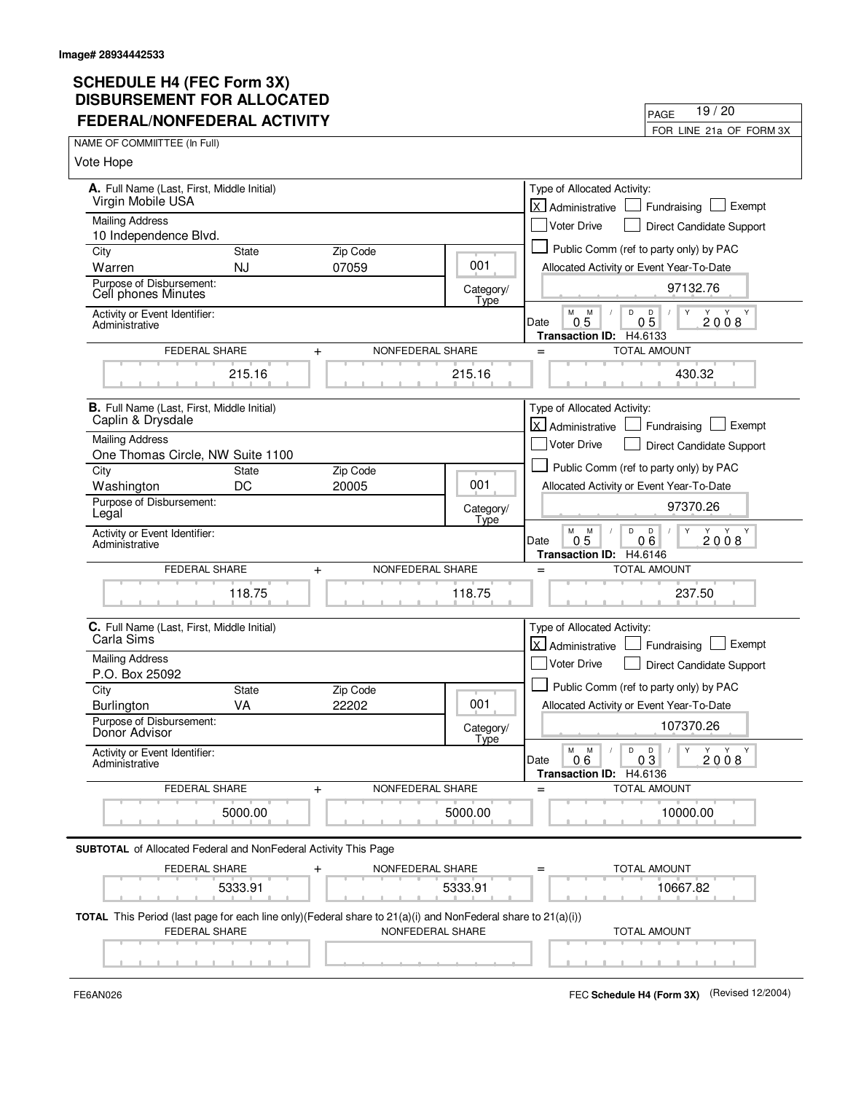| <b>FEDERAL/NONFEDERAL ACTIVITY</b>                                                                                            |              |                               |                   | 19/20<br>PAGE                                                                                        |
|-------------------------------------------------------------------------------------------------------------------------------|--------------|-------------------------------|-------------------|------------------------------------------------------------------------------------------------------|
| NAME OF COMMITTEE (In Full)                                                                                                   |              |                               |                   | FOR LINE 21a OF FORM 3X                                                                              |
| Vote Hope                                                                                                                     |              |                               |                   |                                                                                                      |
|                                                                                                                               |              |                               |                   |                                                                                                      |
| A. Full Name (Last, First, Middle Initial)<br>Virgin Mobile USA                                                               |              |                               |                   | Type of Allocated Activity:                                                                          |
| <b>Mailing Address</b>                                                                                                        |              |                               |                   | <b>X</b> Administrative<br>Exempt<br>Fundraising                                                     |
| 10 Independence Blvd.                                                                                                         |              |                               |                   | Voter Drive<br>Direct Candidate Support                                                              |
| City                                                                                                                          | State        | Zip Code                      |                   | Public Comm (ref to party only) by PAC                                                               |
| Warren                                                                                                                        | <b>NJ</b>    | 07059                         | 001               | Allocated Activity or Event Year-To-Date                                                             |
| Purpose of Disbursement:<br>Cell phones Minutes                                                                               |              |                               | Category/<br>Type | 97132.76                                                                                             |
| Activity or Event Identifier:<br>Administrative                                                                               |              |                               |                   | M<br>D<br>Y<br>M<br>D<br>2008<br>0 <sub>5</sub><br>0 <sub>5</sub><br>Date<br>Transaction ID: H4.6133 |
| FEDERAL SHARE                                                                                                                 |              | NONFEDERAL SHARE<br>$\ddot{}$ |                   | TOTAL AMOUNT<br>$=$                                                                                  |
|                                                                                                                               | 215.16       |                               | 215.16            | 430.32                                                                                               |
| <b>B.</b> Full Name (Last, First, Middle Initial)                                                                             |              |                               |                   | Type of Allocated Activity:                                                                          |
| Caplin & Drysdale                                                                                                             |              |                               |                   | X Administrative<br>Exempt<br>Fundraising                                                            |
| <b>Mailing Address</b><br>One Thomas Circle, NW Suite 1100                                                                    |              |                               |                   | Voter Drive<br><b>Direct Candidate Support</b>                                                       |
| City                                                                                                                          | <b>State</b> | Zip Code                      |                   | Public Comm (ref to party only) by PAC                                                               |
| Washington                                                                                                                    | DC           | 20005                         | 001               | Allocated Activity or Event Year-To-Date                                                             |
| Purpose of Disbursement:<br>Legal                                                                                             |              |                               | Category/<br>Type | 97370.26                                                                                             |
| Activity or Event Identifier:<br>Administrative                                                                               |              |                               |                   | M<br>D<br>D<br>M<br>Y<br>Y Y<br>2008<br>0.5<br>06<br>Date<br>Transaction ID: H4.6146                 |
| FEDERAL SHARE                                                                                                                 |              | NONFEDERAL SHARE<br>$\ddot{}$ |                   | <b>TOTAL AMOUNT</b><br>$=$                                                                           |
|                                                                                                                               | 118.75       |                               | 118.75            | 237.50                                                                                               |
| C. Full Name (Last, First, Middle Initial)                                                                                    |              |                               |                   | Type of Allocated Activity:                                                                          |
| Carla Sims                                                                                                                    |              |                               |                   | Administrative<br>Exempt<br>Fundraising                                                              |
| <b>Mailing Address</b><br>P.O. Box 25092                                                                                      |              |                               |                   | Voter Drive<br>Direct Candidate Support                                                              |
| City                                                                                                                          | <b>State</b> | Zip Code                      |                   | Public Comm (ref to party only) by PAC                                                               |
| <b>Burlington</b>                                                                                                             | VA           | 22202                         | 001               | Allocated Activity or Event Year-To-Date                                                             |
| Purpose of Disbursement:<br>Donor Advisor                                                                                     |              |                               | Category/         | 107370.26                                                                                            |
| Activity or Event Identifier:                                                                                                 |              |                               | Type              | D<br>Y<br>M<br>M<br>D<br>Y Y Y<br>2008<br>0.6<br>03<br>Date                                          |
| Administrative                                                                                                                |              |                               |                   |                                                                                                      |
| FEDERAL SHARE                                                                                                                 |              | NONFEDERAL SHARE<br>$\ddot{}$ |                   | Transaction ID: H4.6136<br>TOTAL AMOUNT<br>$=$                                                       |
|                                                                                                                               | 5000.00      |                               | 5000.00           | 10000.00                                                                                             |
| <b>SUBTOTAL</b> of Allocated Federal and NonFederal Activity This Page                                                        |              |                               |                   |                                                                                                      |
| <b>FEDERAL SHARE</b>                                                                                                          |              | NONFEDERAL SHARE<br>+         |                   | <b>TOTAL AMOUNT</b><br>$=$                                                                           |
|                                                                                                                               | 5333.91      |                               | 5333.91           | 10667.82                                                                                             |
| TOTAL This Period (last page for each line only)(Federal share to 21(a)(i) and NonFederal share to 21(a)(i))<br>FEDERAL SHARE |              |                               | NONFEDERAL SHARE  | TOTAL AMOUNT                                                                                         |

FE6AN026 FEC **Schedule H4 (Form 3X)** (Revised 12/2004)